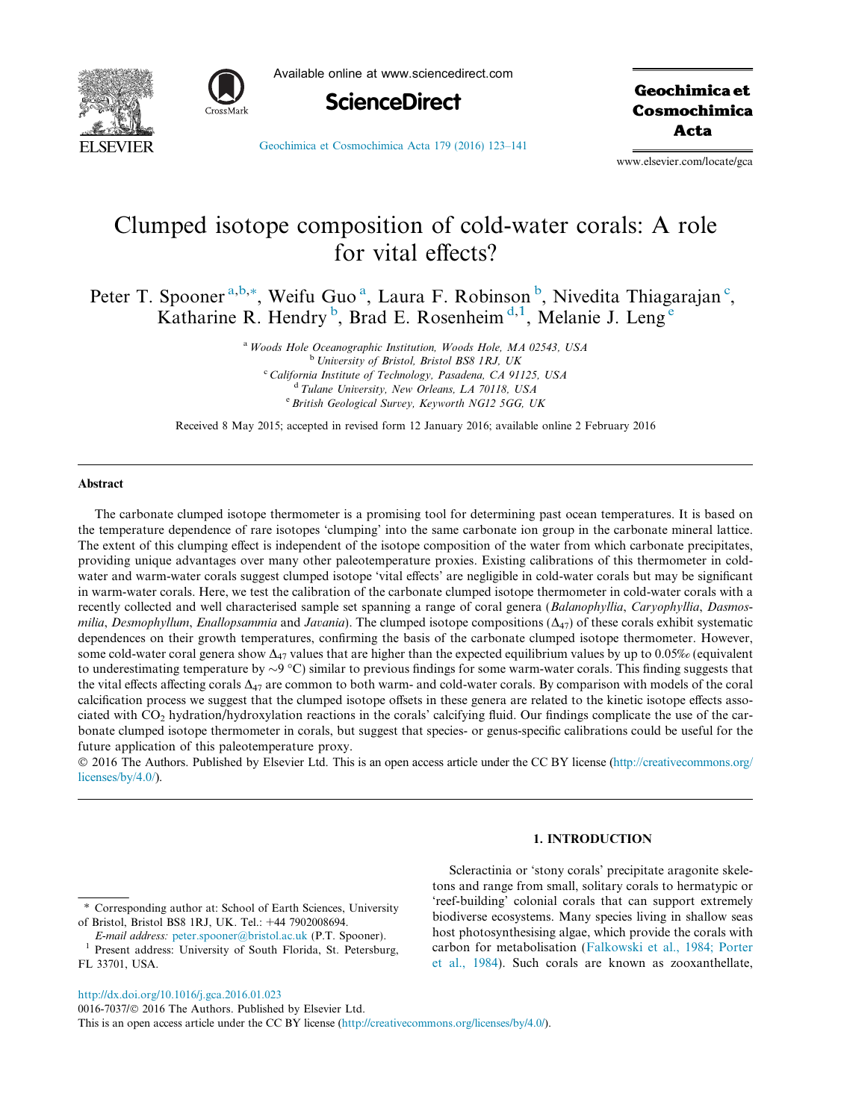



Available online at www.sciencedirect.com



**Geochimica et** Cosmochimica Acta

[Geochimica et Cosmochimica Acta 179 \(2016\) 123–141](http://dx.doi.org/10.1016/j.gca.2016.01.023)

www.elsevier.com/locate/gca

# Clumped isotope composition of cold-water corals: A role for vital effects?

Peter T. Spooner<sup>a,b,\*</sup>, Weifu Guo<sup>a</sup>, Laura F. Robinson<sup>b</sup>, Nivedita Thiagarajan<sup>c</sup>, Katharine R. Hendry<sup>b</sup>, Brad E. Rosenheim<sup>d, 1</sup>, Melanie J. Leng<sup>e</sup>

> <sup>a</sup> Woods Hole Oceanographic Institution, Woods Hole, MA 02543, USA <sup>b</sup> University of Bristol, Bristol BS8 1RJ, UK <sup>c</sup> California Institute of Technology, Pasadena, CA 91125, USA  $d$  Tulane University, New Orleans, LA 70118, USA <sup>e</sup> British Geological Survey, Keyworth NG12 5GG, UK

Received 8 May 2015; accepted in revised form 12 January 2016; available online 2 February 2016

#### Abstract

The carbonate clumped isotope thermometer is a promising tool for determining past ocean temperatures. It is based on the temperature dependence of rare isotopes 'clumping' into the same carbonate ion group in the carbonate mineral lattice. The extent of this clumping effect is independent of the isotope composition of the water from which carbonate precipitates, providing unique advantages over many other paleotemperature proxies. Existing calibrations of this thermometer in coldwater and warm-water corals suggest clumped isotope 'vital effects' are negligible in cold-water corals but may be significant in warm-water corals. Here, we test the calibration of the carbonate clumped isotope thermometer in cold-water corals with a recently collected and well characterised sample set spanning a range of coral genera (Balanophyllia, Caryophyllia, Dasmosmilia, Desmophyllum, Enallopsammia and Javania). The clumped isotope compositions  $(\Delta_{47})$  of these corals exhibit systematic dependences on their growth temperatures, confirming the basis of the carbonate clumped isotope thermometer. However, some cold-water coral genera show  $\Delta_{47}$  values that are higher than the expected equilibrium values by up to 0.05% (equivalent to underestimating temperature by  $\sim 9 \degree C$ ) similar to previous findings for some warm-water corals. This finding suggests that the vital effects affecting corals  $\Delta_{47}$  are common to both warm- and cold-water corals. By comparison with models of the coral calcification process we suggest that the clumped isotope offsets in these genera are related to the kinetic isotope effects associated with  $CO<sub>2</sub>$  hydration/hydroxylation reactions in the corals' calcifying fluid. Our findings complicate the use of the carbonate clumped isotope thermometer in corals, but suggest that species- or genus-specific calibrations could be useful for the future application of this paleotemperature proxy.

 2016 The Authors. Published by Elsevier Ltd. This is an open access article under the CC BY license ([http://creativecommons.org/](http://creativecommons.org/licenses/by/4.0/) [licenses/by/4.0/\)](http://creativecommons.org/licenses/by/4.0/).

# 1. INTRODUCTION

<http://dx.doi.org/10.1016/j.gca.2016.01.023>

Scleractinia or 'stony corals' precipitate aragonite skeletons and range from small, solitary corals to hermatypic or 'reef-building' colonial corals that can support extremely biodiverse ecosystems. Many species living in shallow seas host photosynthesising algae, which provide the corals with carbon for metabolisation [\(Falkowski et al., 1984; Porter](#page-16-0) [et al., 1984\)](#page-16-0). Such corals are known as zooxanthellate,

<sup>⇑</sup> Corresponding author at: School of Earth Sciences, University of Bristol, Bristol BS8 1RJ, UK. Tel.: +44 7902008694.

E-mail address: [peter.spooner@bristol.ac.uk](mailto:peter.spooner@bristol.ac.uk) (P.T. Spooner).<br>Present address: University of South Florida, St. Petersburg,

FL 33701, USA.

<sup>0016-7037/© 2016</sup> The Authors. Published by Elsevier Ltd. This is an open access article under the CC BY license [\(http://creativecommons.org/licenses/by/4.0/\)](http://creativecommons.org/licenses/by/4.0/).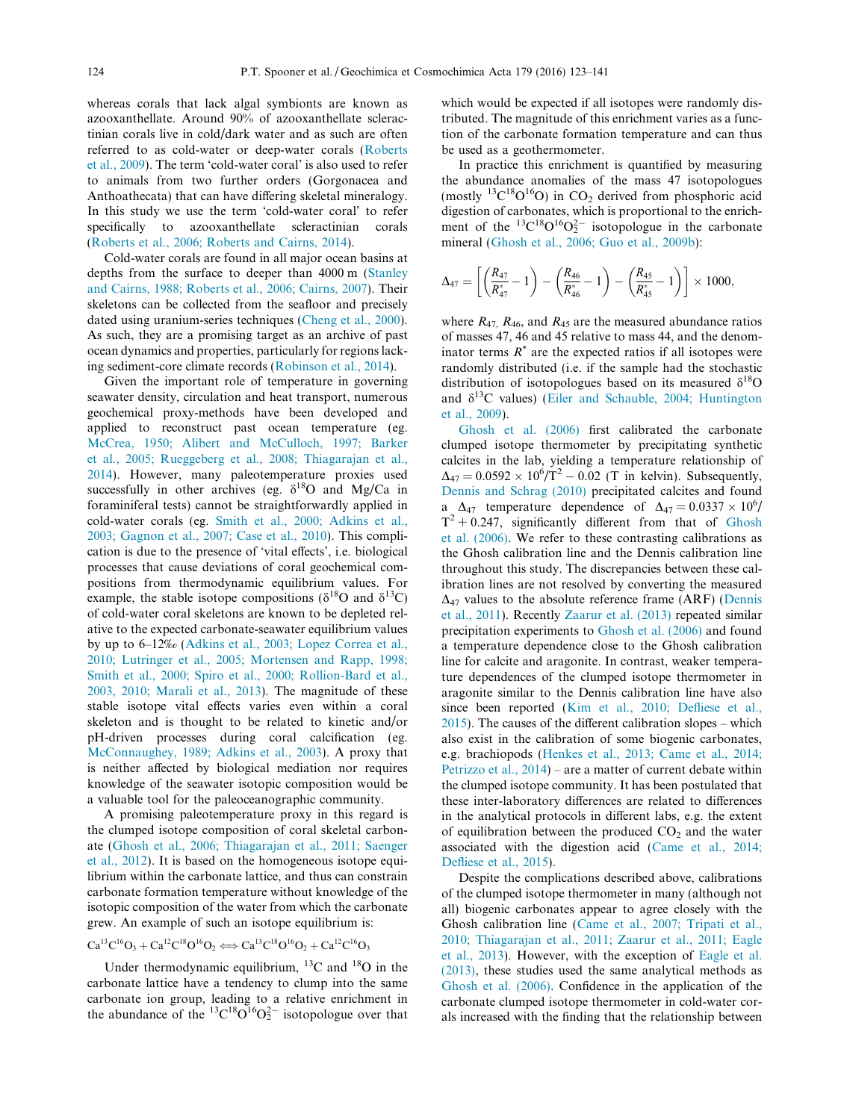whereas corals that lack algal symbionts are known as azooxanthellate. Around 90% of azooxanthellate scleractinian corals live in cold/dark water and as such are often referred to as cold-water or deep-water corals [\(Roberts](#page-17-0) [et al., 2009\)](#page-17-0). The term 'cold-water coral' is also used to refer to animals from two further orders (Gorgonacea and Anthoathecata) that can have differing skeletal mineralogy. In this study we use the term 'cold-water coral' to refer specifically to azooxanthellate scleractinian corals ([Roberts et al., 2006; Roberts and Cairns, 2014\)](#page-17-0).

Cold-water corals are found in all major ocean basins at depths from the surface to deeper than 4000 m ([Stanley](#page-17-0) [and Cairns, 1988; Roberts et al., 2006; Cairns, 2007](#page-17-0)). Their skeletons can be collected from the seafloor and precisely dated using uranium-series techniques ([Cheng et al., 2000\)](#page-16-0). As such, they are a promising target as an archive of past ocean dynamics and properties, particularly for regions lacking sediment-core climate records ([Robinson et al., 2014\)](#page-17-0).

Given the important role of temperature in governing seawater density, circulation and heat transport, numerous geochemical proxy-methods have been developed and applied to reconstruct past ocean temperature (eg. [McCrea, 1950; Alibert and McCulloch, 1997; Barker](#page-17-0) [et al., 2005; Rueggeberg et al., 2008; Thiagarajan et al.,](#page-17-0) [2014\)](#page-17-0). However, many paleotemperature proxies used successfully in other archives (eg.  $\delta^{18}$ O and Mg/Ca in foraminiferal tests) cannot be straightforwardly applied in cold-water corals (eg. [Smith et al., 2000; Adkins et al.,](#page-17-0) [2003; Gagnon et al., 2007; Case et al., 2010\)](#page-17-0). This complication is due to the presence of 'vital effects', i.e. biological processes that cause deviations of coral geochemical compositions from thermodynamic equilibrium values. For example, the stable isotope compositions ( $\delta^{18}$ O and  $\delta^{13}$ C) of cold-water coral skeletons are known to be depleted relative to the expected carbonate-seawater equilibrium values by up to 6–12‰ [\(Adkins et al., 2003; Lopez Correa et al.,](#page-16-0) [2010; Lutringer et al., 2005; Mortensen and Rapp, 1998;](#page-16-0) [Smith et al., 2000; Spiro et al., 2000; Rollion-Bard et al.,](#page-16-0) [2003, 2010; Marali et al., 2013](#page-16-0)). The magnitude of these stable isotope vital effects varies even within a coral skeleton and is thought to be related to kinetic and/or pH-driven processes during coral calcification (eg. [McConnaughey, 1989; Adkins et al., 2003](#page-17-0)). A proxy that is neither affected by biological mediation nor requires knowledge of the seawater isotopic composition would be a valuable tool for the paleoceanographic community.

A promising paleotemperature proxy in this regard is the clumped isotope composition of coral skeletal carbonate ([Ghosh et al., 2006; Thiagarajan et al., 2011; Saenger](#page-16-0) [et al., 2012](#page-16-0)). It is based on the homogeneous isotope equilibrium within the carbonate lattice, and thus can constrain carbonate formation temperature without knowledge of the isotopic composition of the water from which the carbonate grew. An example of such an isotope equilibrium is:

 $Ca^{13}C^{16}O_3 + Ca^{12}C^{18}O^{16}O_2 \Longleftrightarrow Ca^{13}C^{18}O^{16}O_2 + Ca^{12}C^{16}O_3$ 

Under thermodynamic equilibrium,  $^{13}$ C and  $^{18}$ O in the carbonate lattice have a tendency to clump into the same carbonate ion group, leading to a relative enrichment in the abundance of the  ${}^{13}C^{18}O_2^{16}O_2^{2-}$  isotopologue over that

which would be expected if all isotopes were randomly distributed. The magnitude of this enrichment varies as a function of the carbonate formation temperature and can thus be used as a geothermometer.

In practice this enrichment is quantified by measuring the abundance anomalies of the mass 47 isotopologues (mostly  $^{13}C^{18}O^{16}O$ ) in CO<sub>2</sub> derived from phosphoric acid digestion of carbonates, which is proportional to the enrichment of the  ${}^{13}C^{18}O^{16}O_2^{2-}$  isotopologue in the carbonate mineral ([Ghosh et al., 2006; Guo et al., 2009b](#page-16-0)):

$$
\Delta_{47} = \left[ \left( \frac{R_{47}}{R_{47}^*} - 1 \right) - \left( \frac{R_{46}}{R_{46}^*} - 1 \right) - \left( \frac{R_{45}}{R_{45}^*} - 1 \right) \right] \times 1000,
$$

where  $R_{47}$ ,  $R_{46}$ , and  $R_{45}$  are the measured abundance ratios of masses 47, 46 and 45 relative to mass 44, and the denominator terms  $R^*$  are the expected ratios if all isotopes were randomly distributed (i.e. if the sample had the stochastic distribution of isotopologues based on its measured  $\delta^{18}O$ and  $\delta^{13}$ C values) ([Eiler and Schauble, 2004; Huntington](#page-16-0) [et al., 2009](#page-16-0)).

[Ghosh et al. \(2006\)](#page-16-0) first calibrated the carbonate clumped isotope thermometer by precipitating synthetic calcites in the lab, yielding a temperature relationship of  $\Delta_{47} = 0.0592 \times 10^{6} / T^{2} - 0.02$  (T in kelvin). Subsequently, [Dennis and Schrag \(2010\)](#page-16-0) precipitated calcites and found  $\Delta_{47}$  temperature dependence of  $\Delta_{47} = 0.0337 \times 10^6$  $T^2 + 0.247$ , significantly different from that of [Ghosh](#page-16-0) [et al. \(2006\).](#page-16-0) We refer to these contrasting calibrations as the Ghosh calibration line and the Dennis calibration line throughout this study. The discrepancies between these calibration lines are not resolved by converting the measured  $\Delta_{47}$  values to the absolute reference frame (ARF) ([Dennis](#page-16-0) [et al., 2011](#page-16-0)). Recently [Zaarur et al. \(2013\)](#page-18-0) repeated similar precipitation experiments to [Ghosh et al. \(2006\)](#page-16-0) and found a temperature dependence close to the Ghosh calibration line for calcite and aragonite. In contrast, weaker temperature dependences of the clumped isotope thermometer in aragonite similar to the Dennis calibration line have also since been reported ([Kim et al., 2010; Defliese et al.,](#page-16-0) [2015\)](#page-16-0). The causes of the different calibration slopes – which also exist in the calibration of some biogenic carbonates, e.g. brachiopods [\(Henkes et al., 2013; Came et al., 2014;](#page-16-0) [Petrizzo et al., 2014](#page-16-0)) – are a matter of current debate within the clumped isotope community. It has been postulated that these inter-laboratory differences are related to differences in the analytical protocols in different labs, e.g. the extent of equilibration between the produced  $CO<sub>2</sub>$  and the water associated with the digestion acid ([Came et al., 2014;](#page-16-0) [Defliese et al., 2015](#page-16-0)).

Despite the complications described above, calibrations of the clumped isotope thermometer in many (although not all) biogenic carbonates appear to agree closely with the Ghosh calibration line ([Came et al., 2007; Tripati et al.,](#page-16-0) [2010; Thiagarajan et al., 2011; Zaarur et al., 2011; Eagle](#page-16-0) [et al., 2013\)](#page-16-0). However, with the exception of [Eagle et al.](#page-16-0) [\(2013\),](#page-16-0) these studies used the same analytical methods as [Ghosh et al. \(2006\).](#page-16-0) Confidence in the application of the carbonate clumped isotope thermometer in cold-water corals increased with the finding that the relationship between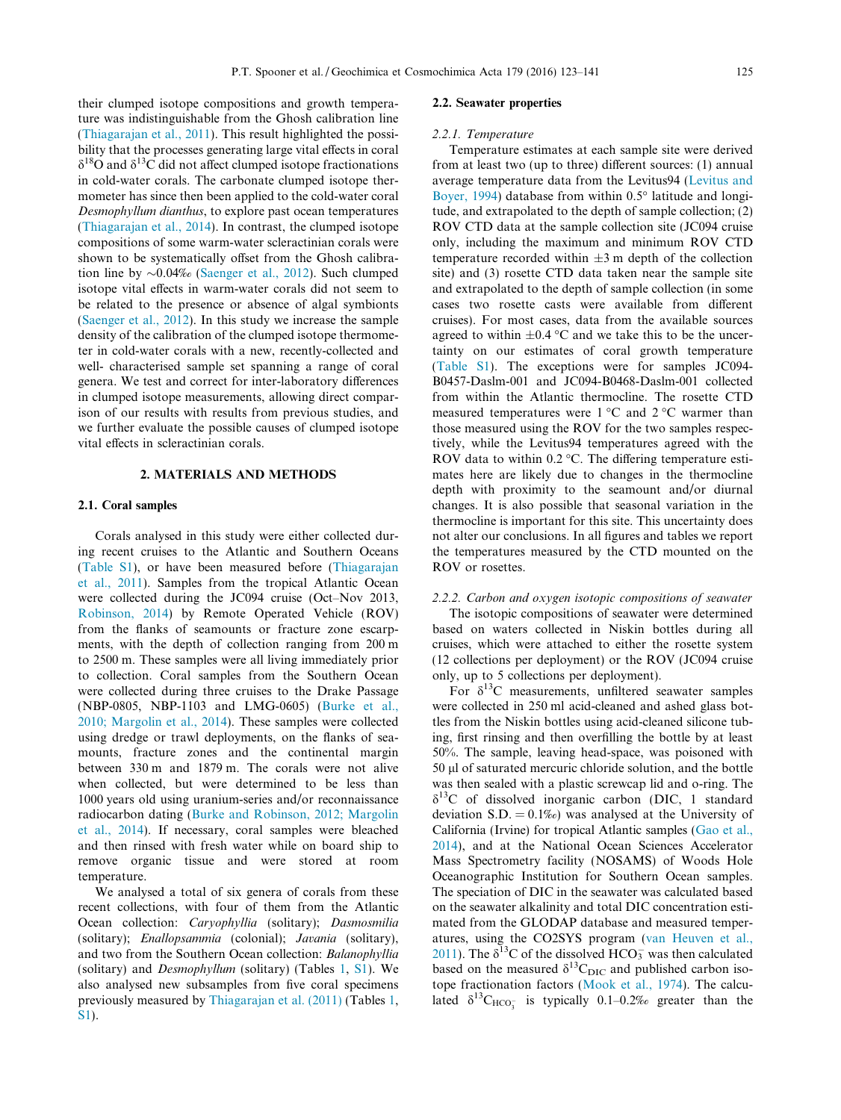their clumped isotope compositions and growth temperature was indistinguishable from the Ghosh calibration line [\(Thiagarajan et al., 2011](#page-17-0)). This result highlighted the possibility that the processes generating large vital effects in coral  $\delta^{18}$ O and  $\delta^{13}$ C did not affect clumped isotope fractionations in cold-water corals. The carbonate clumped isotope thermometer has since then been applied to the cold-water coral Desmophyllum dianthus, to explore past ocean temperatures [\(Thiagarajan et al., 2014\)](#page-17-0). In contrast, the clumped isotope compositions of some warm-water scleractinian corals were shown to be systematically offset from the Ghosh calibration line by  $\sim 0.04\%$  [\(Saenger et al., 2012\)](#page-17-0). Such clumped isotope vital effects in warm-water corals did not seem to be related to the presence or absence of algal symbionts [\(Saenger et al., 2012\)](#page-17-0). In this study we increase the sample density of the calibration of the clumped isotope thermometer in cold-water corals with a new, recently-collected and well- characterised sample set spanning a range of coral genera. We test and correct for inter-laboratory differences in clumped isotope measurements, allowing direct comparison of our results with results from previous studies, and we further evaluate the possible causes of clumped isotope vital effects in scleractinian corals.

# 2. MATERIALS AND METHODS

## 2.1. Coral samples

Corals analysed in this study were either collected during recent cruises to the Atlantic and Southern Oceans [\(Table S1](#page-16-0)), or have been measured before ([Thiagarajan](#page-17-0) [et al., 2011](#page-17-0)). Samples from the tropical Atlantic Ocean were collected during the JC094 cruise (Oct–Nov 2013, [Robinson, 2014](#page-17-0)) by Remote Operated Vehicle (ROV) from the flanks of seamounts or fracture zone escarpments, with the depth of collection ranging from 200 m to 2500 m. These samples were all living immediately prior to collection. Coral samples from the Southern Ocean were collected during three cruises to the Drake Passage (NBP-0805, NBP-1103 and LMG-0605) [\(Burke et al.,](#page-16-0) [2010; Margolin et al., 2014\)](#page-16-0). These samples were collected using dredge or trawl deployments, on the flanks of seamounts, fracture zones and the continental margin between 330 m and 1879 m. The corals were not alive when collected, but were determined to be less than 1000 years old using uranium-series and/or reconnaissance radiocarbon dating ([Burke and Robinson, 2012; Margolin](#page-16-0) [et al., 2014\)](#page-16-0). If necessary, coral samples were bleached and then rinsed with fresh water while on board ship to remove organic tissue and were stored at room temperature.

We analysed a total of six genera of corals from these recent collections, with four of them from the Atlantic Ocean collection: Caryophyllia (solitary); Dasmosmilia (solitary); Enallopsammia (colonial); Javania (solitary), and two from the Southern Ocean collection: Balanophyllia (solitary) and Desmophyllum (solitary) (Tables [1](#page-3-0), [S1\)](#page-16-0). We also analysed new subsamples from five coral specimens previously measured by [Thiagarajan et al. \(2011\)](#page-17-0) (Tables [1](#page-3-0), [S1\)](#page-16-0).

#### 2.2. Seawater properties

#### 2.2.1. Temperature

Temperature estimates at each sample site were derived from at least two (up to three) different sources: (1) annual average temperature data from the Levitus94 ([Levitus and](#page-17-0) [Boyer, 1994](#page-17-0)) database from within  $0.5^{\circ}$  latitude and longitude, and extrapolated to the depth of sample collection; (2) ROV CTD data at the sample collection site (JC094 cruise only, including the maximum and minimum ROV CTD temperature recorded within  $\pm 3$  m depth of the collection site) and (3) rosette CTD data taken near the sample site and extrapolated to the depth of sample collection (in some cases two rosette casts were available from different cruises). For most cases, data from the available sources agreed to within  $\pm 0.4$  °C and we take this to be the uncertainty on our estimates of coral growth temperature [\(Table S1](#page-16-0)). The exceptions were for samples JC094- B0457-Daslm-001 and JC094-B0468-Daslm-001 collected from within the Atlantic thermocline. The rosette CTD measured temperatures were  $1^{\circ}$ C and  $2^{\circ}$ C warmer than those measured using the ROV for the two samples respectively, while the Levitus94 temperatures agreed with the ROV data to within  $0.2 \degree C$ . The differing temperature estimates here are likely due to changes in the thermocline depth with proximity to the seamount and/or diurnal changes. It is also possible that seasonal variation in the thermocline is important for this site. This uncertainty does not alter our conclusions. In all figures and tables we report the temperatures measured by the CTD mounted on the ROV or rosettes.

# 2.2.2. Carbon and oxygen isotopic compositions of seawater

The isotopic compositions of seawater were determined based on waters collected in Niskin bottles during all cruises, which were attached to either the rosette system (12 collections per deployment) or the ROV (JC094 cruise only, up to 5 collections per deployment).

For  $\delta^{13}$ C measurements, unfiltered seawater samples were collected in 250 ml acid-cleaned and ashed glass bottles from the Niskin bottles using acid-cleaned silicone tubing, first rinsing and then overfilling the bottle by at least 50%. The sample, leaving head-space, was poisoned with 50 ll of saturated mercuric chloride solution, and the bottle was then sealed with a plastic screwcap lid and o-ring. The  $\delta^{13}$ C of dissolved inorganic carbon (DIC, 1 standard deviation S.D.  $= 0.1\%$ ) was analysed at the University of California (Irvine) for tropical Atlantic samples ([Gao et al.,](#page-16-0) [2014](#page-16-0)), and at the National Ocean Sciences Accelerator Mass Spectrometry facility (NOSAMS) of Woods Hole Oceanographic Institution for Southern Ocean samples. The speciation of DIC in the seawater was calculated based on the seawater alkalinity and total DIC concentration estimated from the GLODAP database and measured temperatures, using the CO2SYS program ([van Heuven et al.,](#page-18-0) [2011](#page-18-0)). The  $\delta^{13}$ C of the dissolved HCO<sub>3</sub> was then calculated based on the measured  $\delta^{13}C_{\text{DIC}}$  and published carbon isotope fractionation factors ([Mook et al., 1974\)](#page-17-0). The calculated  $\delta^{13}C_{\text{HCO}_3^-}$  is typically 0.1–0.2% greater than the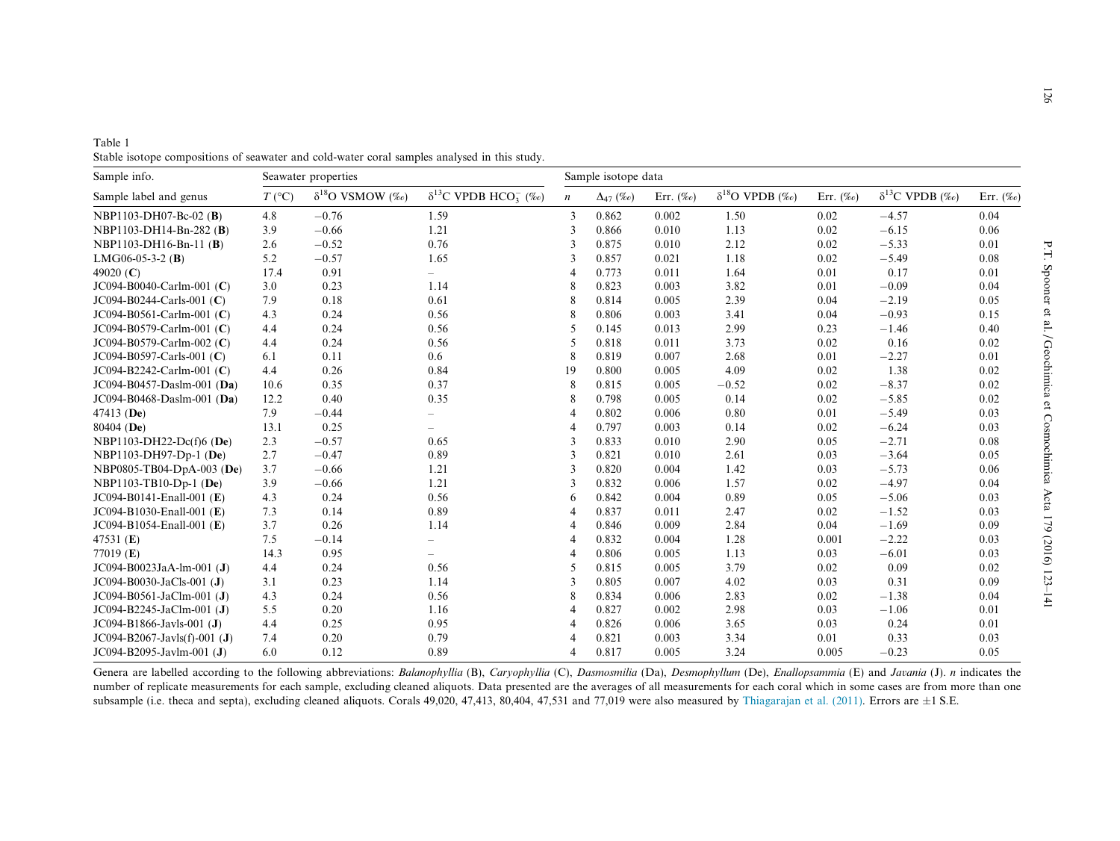<span id="page-3-0"></span>

| Table 1                                                                                      |  |  |
|----------------------------------------------------------------------------------------------|--|--|
| Stable isotope compositions of seawater and cold-water coral samples analysed in this study. |  |  |

| Sample info.                  |                  | Seawater properties       |                                           |                  |                   | Sample isotope data |                          |               |                          |               |  |  |
|-------------------------------|------------------|---------------------------|-------------------------------------------|------------------|-------------------|---------------------|--------------------------|---------------|--------------------------|---------------|--|--|
| Sample label and genus        | $T({}^{\circ}C)$ | $\delta^{18}$ O VSMOW (‰) | $\delta^{13}$ C VPDB HCO <sub>3</sub> (‰) | $\boldsymbol{n}$ | $\Delta_{47}$ (‰) | Err. $(\%$ o)       | $\delta^{18}$ O VPDB (‰) | Err. $(\%_0)$ | $\delta^{13}$ C VPDB (‰) | Err. $(\%_0)$ |  |  |
| NBP1103-DH07-Bc-02 (B)        | 4.8              | $-0.76$                   | 1.59                                      | 3                | 0.862             | 0.002               | 1.50                     | 0.02          | $-4.57$                  | 0.04          |  |  |
| NBP1103-DH14-Bn-282 (B)       | 3.9              | $-0.66$                   | 1.21                                      | 3                | 0.866             | 0.010               | 1.13                     | 0.02          | $-6.15$                  | 0.06          |  |  |
| NBP1103-DH16-Bn-11 (B)        | 2.6              | $-0.52$                   | 0.76                                      | 3                | 0.875             | 0.010               | 2.12                     | 0.02          | $-5.33$                  | 0.01          |  |  |
| $LMG06-05-3-2$ (B)            | 5.2              | $-0.57$                   | 1.65                                      | 3                | 0.857             | 0.021               | 1.18                     | 0.02          | $-5.49$                  | 0.08          |  |  |
| 49020 $(C)$                   | 17.4             | 0.91                      | $\overline{\phantom{0}}$                  | $\overline{4}$   | 0.773             | 0.011               | 1.64                     | 0.01          | 0.17                     | 0.01          |  |  |
| JC094-B0040-Carlm-001 (C)     | 3.0              | 0.23                      | 1.14                                      | 8                | 0.823             | 0.003               | 3.82                     | 0.01          | $-0.09$                  | 0.04          |  |  |
| $JC094-B0244-Carls-001 (C)$   | 7.9              | 0.18                      | 0.61                                      | 8                | 0.814             | 0.005               | 2.39                     | 0.04          | $-2.19$                  | 0.05          |  |  |
| $JC094-B0561-Carlm-001 (C)$   | 4.3              | 0.24                      | 0.56                                      | 8                | 0.806             | 0.003               | 3.41                     | 0.04          | $-0.93$                  | 0.15          |  |  |
| JC094-B0579-Carlm-001 (C)     | 4.4              | 0.24                      | 0.56                                      | 5                | 0.145             | 0.013               | 2.99                     | 0.23          | $-1.46$                  | 0.40          |  |  |
| JC094-B0579-Carlm-002 (C)     | 4.4              | 0.24                      | 0.56                                      | 5                | 0.818             | 0.011               | 3.73                     | 0.02          | 0.16                     | 0.02          |  |  |
| JC094-B0597-Carls-001 (C)     | 6.1              | 0.11                      | 0.6                                       | 8                | 0.819             | 0.007               | 2.68                     | 0.01          | $-2.27$                  | 0.01          |  |  |
| JC094-B2242-Carlm-001 (C)     | 4.4              | 0.26                      | 0.84                                      | 19               | 0.800             | 0.005               | 4.09                     | 0.02          | 1.38                     | 0.02          |  |  |
| JC094-B0457-Daslm-001 (Da)    | 10.6             | 0.35                      | 0.37                                      | 8                | 0.815             | 0.005               | $-0.52$                  | 0.02          | $-8.37$                  | 0.02          |  |  |
| JC094-B0468-Daslm-001 (Da)    | 12.2             | 0.40                      | 0.35                                      | 8                | 0.798             | 0.005               | 0.14                     | 0.02          | $-5.85$                  | 0.02          |  |  |
| 47413 (De)                    | 7.9              | $-0.44$                   | $\overline{\phantom{m}}$                  | 4                | 0.802             | 0.006               | 0.80                     | 0.01          | $-5.49$                  | 0.03          |  |  |
| 80404 (De)                    | 13.1             | 0.25                      | $\overline{\phantom{0}}$                  | 4                | 0.797             | 0.003               | 0.14                     | 0.02          | $-6.24$                  | 0.03          |  |  |
| NBP1103-DH22-Dc(f)6 (De)      | 2.3              | $-0.57$                   | 0.65                                      | 3                | 0.833             | 0.010               | 2.90                     | 0.05          | $-2.71$                  | 0.08          |  |  |
| NBP1103-DH97-Dp-1 (De)        | 2.7              | $-0.47$                   | 0.89                                      | 3                | 0.821             | 0.010               | 2.61                     | 0.03          | $-3.64$                  | 0.05          |  |  |
| NBP0805-TB04-DpA-003 (De)     | 3.7              | $-0.66$                   | 1.21                                      | 3                | 0.820             | 0.004               | 1.42                     | 0.03          | $-5.73$                  | 0.06          |  |  |
| NBP1103-TB10-Dp-1 (De)        | 3.9              | $-0.66$                   | 1.21                                      | 3                | 0.832             | 0.006               | 1.57                     | 0.02          | $-4.97$                  | 0.04          |  |  |
| JC094-B0141-Enall-001 (E)     | 4.3              | 0.24                      | 0.56                                      | 6                | 0.842             | 0.004               | 0.89                     | 0.05          | $-5.06$                  | 0.03          |  |  |
| JC094-B1030-Enall-001 (E)     | 7.3              | 0.14                      | 0.89                                      | 4                | 0.837             | 0.011               | 2.47                     | 0.02          | $-1.52$                  | 0.03          |  |  |
| JC094-B1054-Enall-001 (E)     | 3.7              | 0.26                      | 1.14                                      | 4                | 0.846             | 0.009               | 2.84                     | 0.04          | $-1.69$                  | 0.09          |  |  |
| 47531 $(E)$                   | 7.5              | $-0.14$                   | $\overline{\phantom{m}}$                  | $\overline{4}$   | 0.832             | 0.004               | 1.28                     | 0.001         | $-2.22$                  | 0.03          |  |  |
| 77019 $(E)$                   | 14.3             | 0.95                      |                                           | 4                | 0.806             | 0.005               | 1.13                     | 0.03          | $-6.01$                  | 0.03          |  |  |
| JC094-B0023JaA-lm-001 (J)     | 4.4              | 0.24                      | 0.56                                      | 5                | 0.815             | 0.005               | 3.79                     | 0.02          | 0.09                     | 0.02          |  |  |
| JC094-B0030-JaCls-001 (J)     | 3.1              | 0.23                      | 1.14                                      | 3                | 0.805             | 0.007               | 4.02                     | 0.03          | 0.31                     | 0.09          |  |  |
| JC094-B0561-JaClm-001 (J)     | 4.3              | 0.24                      | 0.56                                      | 8                | 0.834             | 0.006               | 2.83                     | 0.02          | $-1.38$                  | 0.04          |  |  |
| JC094-B2245-JaClm-001 (J)     | 5.5              | 0.20                      | 1.16                                      | 4                | 0.827             | 0.002               | 2.98                     | 0.03          | $-1.06$                  | 0.01          |  |  |
| JC094-B1866-Javls-001 (J)     | 4.4              | 0.25                      | 0.95                                      | 4                | 0.826             | 0.006               | 3.65                     | 0.03          | 0.24                     | 0.01          |  |  |
| $JC094-B2067-Javls(f)-001(J)$ | 7.4              | 0.20                      | 0.79                                      | $\overline{4}$   | 0.821             | 0.003               | 3.34                     | 0.01          | 0.33                     | 0.03          |  |  |
| JC094-B2095-Javlm-001 (J)     | 6.0              | 0.12                      | 0.89                                      | $\overline{4}$   | 0.817             | 0.005               | 3.24                     | 0.005         | $-0.23$                  | 0.05          |  |  |

Genera are labelled according to the following abbreviations: Balanophyllia (B), Caryophyllia (C), Dasmosmilia (Da), Desmophyllum (De), Enallopsammia (E) and Javania (J). n indicates the number of replicate measurements for each sample, excluding cleaned aliquots. Data presented are the averages of all measurements for each coral which in some cases are from more than one subsample (i.e. theca and septa), excluding cleaned aliquots. Corals 49,020, 47,413, 80,404, 47,531 and 77,019 were also measured by [Thiagarajan](#page-17-0) et al. (2011). Errors are  $\pm 1$  S.E.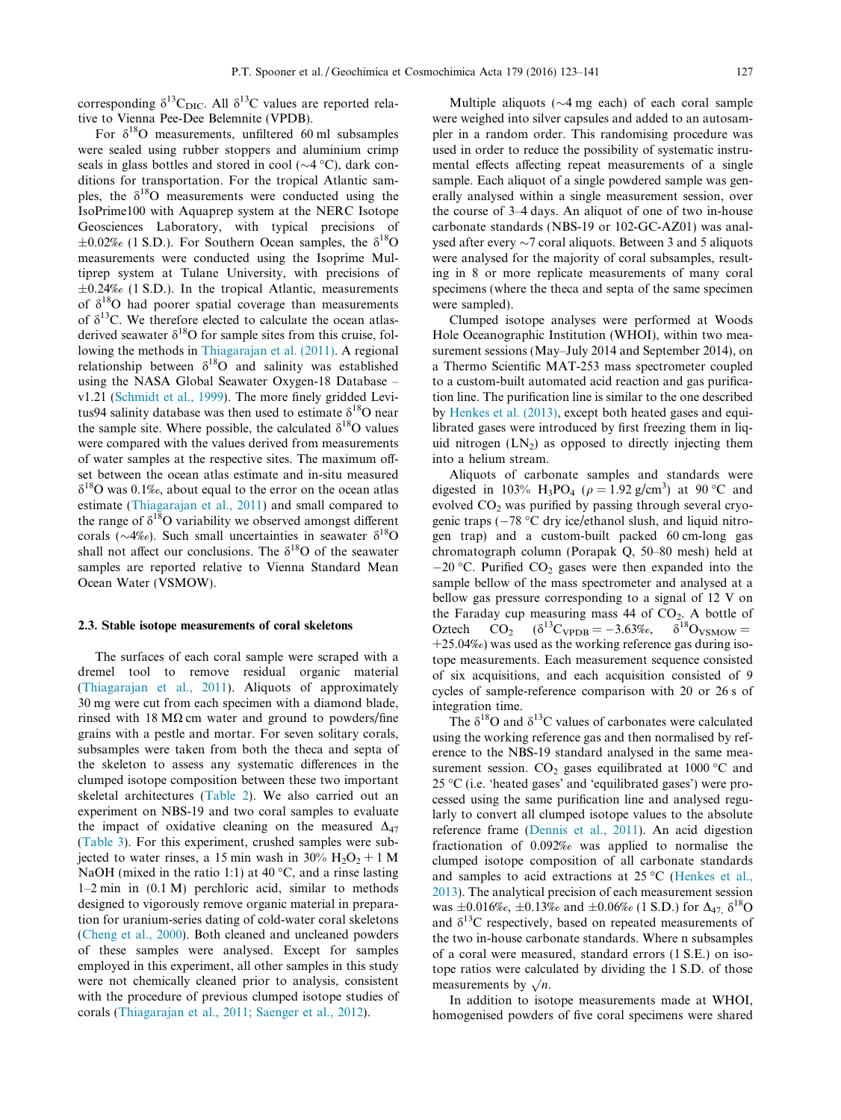<span id="page-4-0"></span>corresponding  $\delta^{13}C_{\text{DIC}}$ . All  $\delta^{13}C$  values are reported relative to Vienna Pee-Dee Belemnite (VPDB).

For  $\delta^{18}$ O measurements, unfiltered 60 ml subsamples were sealed using rubber stoppers and aluminium crimp seals in glass bottles and stored in cool ( $\sim$ 4 °C), dark conditions for transportation. For the tropical Atlantic samples, the  $\delta^{18}$ O measurements were conducted using the IsoPrime100 with Aquaprep system at the NERC Isotope Geosciences Laboratory, with typical precisions of  $\pm 0.02\%$  (1 S.D.). For Southern Ocean samples, the  $\delta^{18}$ O measurements were conducted using the Isoprime Multiprep system at Tulane University, with precisions of  $\pm 0.24\%$  (1 S.D.). In the tropical Atlantic, measurements of  $\delta^{18}$ O had poorer spatial coverage than measurements of  $\delta^{13}$ C. We therefore elected to calculate the ocean atlasderived seawater  $\delta^{18}$ O for sample sites from this cruise, following the methods in [Thiagarajan et al. \(2011\).](#page-17-0) A regional relationship between  $\delta^{18}O$  and salinity was established using the NASA Global Seawater Oxygen-18 Database – v1.21 ([Schmidt et al., 1999](#page-17-0)). The more finely gridded Levitus94 salinity database was then used to estimate  $\delta^{18}O$  near the sample site. Where possible, the calculated  $\delta^{18}O$  values were compared with the values derived from measurements of water samples at the respective sites. The maximum offset between the ocean atlas estimate and in-situ measured  $\delta^{18}$ O was 0.1‰, about equal to the error on the ocean atlas estimate [\(Thiagarajan et al., 2011](#page-17-0)) and small compared to the range of  $\delta^{18}$ O variability we observed amongst different corals ( $\sim$ 4‰). Such small uncertainties in seawater  $\delta^{18}$ O shall not affect our conclusions. The  $\delta^{18}O$  of the seawater samples are reported relative to Vienna Standard Mean Ocean Water (VSMOW).

#### 2.3. Stable isotope measurements of coral skeletons

The surfaces of each coral sample were scraped with a dremel tool to remove residual organic material [\(Thiagarajan et al., 2011](#page-17-0)). Aliquots of approximately 30 mg were cut from each specimen with a diamond blade, rinsed with 18  $M\Omega$  cm water and ground to powders/fine grains with a pestle and mortar. For seven solitary corals, subsamples were taken from both the theca and septa of the skeleton to assess any systematic differences in the clumped isotope composition between these two important skeletal architectures [\(Table 2](#page-5-0)). We also carried out an experiment on NBS-19 and two coral samples to evaluate the impact of oxidative cleaning on the measured  $\Delta_{47}$ [\(Table 3\)](#page-6-0). For this experiment, crushed samples were subjected to water rinses, a 15 min wash in 30%  $H_2O_2 + 1 M$ NaOH (mixed in the ratio 1:1) at 40  $\degree$ C, and a rinse lasting 1–2 min in (0.1 M) perchloric acid, similar to methods designed to vigorously remove organic material in preparation for uranium-series dating of cold-water coral skeletons [\(Cheng et al., 2000\)](#page-16-0). Both cleaned and uncleaned powders of these samples were analysed. Except for samples employed in this experiment, all other samples in this study were not chemically cleaned prior to analysis, consistent with the procedure of previous clumped isotope studies of corals ([Thiagarajan et al., 2011; Saenger et al., 2012](#page-17-0)).

Multiple aliquots ( $\sim$ 4 mg each) of each coral sample were weighed into silver capsules and added to an autosampler in a random order. This randomising procedure was used in order to reduce the possibility of systematic instrumental effects affecting repeat measurements of a single sample. Each aliquot of a single powdered sample was generally analysed within a single measurement session, over the course of 3–4 days. An aliquot of one of two in-house carbonate standards (NBS-19 or 102-GC-AZ01) was analysed after every  $\sim$ 7 coral aliquots. Between 3 and 5 aliquots were analysed for the majority of coral subsamples, resulting in 8 or more replicate measurements of many coral specimens (where the theca and septa of the same specimen were sampled).

Clumped isotope analyses were performed at Woods Hole Oceanographic Institution (WHOI), within two measurement sessions (May–July 2014 and September 2014), on a Thermo Scientific MAT-253 mass spectrometer coupled to a custom-built automated acid reaction and gas purification line. The purification line is similar to the one described by [Henkes et al. \(2013\),](#page-16-0) except both heated gases and equilibrated gases were introduced by first freezing them in liquid nitrogen  $(LN_2)$  as opposed to directly injecting them into a helium stream.

Aliquots of carbonate samples and standards were digested in 103% H<sub>3</sub>PO<sub>4</sub> ( $\rho = 1.92$  g/cm<sup>3</sup>) at 90 °C and evolved  $CO<sub>2</sub>$  was purified by passing through several cryogenic traps ( $-78$  °C dry ice/ethanol slush, and liquid nitrogen trap) and a custom-built packed 60 cm-long gas chromatograph column (Porapak Q, 50–80 mesh) held at  $-20$  °C. Purified CO<sub>2</sub> gases were then expanded into the sample bellow of the mass spectrometer and analysed at a bellow gas pressure corresponding to a signal of 12 V on the Faraday cup measuring mass 44 of CO<sub>2</sub>. A bottle of Oztech CO<sub>2</sub>  $(\delta^{13}C_{VPDR} = -3.63\%_{o}, \delta^{18}O_{VSMOW})$  $CO_2$  ( $\delta^{13}C_{\text{VPDB}} = -3.63\%$ <sub>c</sub>,  $\delta^{18}O_{\text{VSMOW}} =$ +25.04‰) was used as the working reference gas during isotope measurements. Each measurement sequence consisted of six acquisitions, and each acquisition consisted of 9 cycles of sample-reference comparison with 20 or 26 s of integration time.

The  $\delta^{18}$ O and  $\delta^{13}$ C values of carbonates were calculated using the working reference gas and then normalised by reference to the NBS-19 standard analysed in the same measurement session.  $CO<sub>2</sub>$  gases equilibrated at 1000 °C and  $25 \degree$ C (i.e. 'heated gases' and 'equilibrated gases') were processed using the same purification line and analysed regularly to convert all clumped isotope values to the absolute reference frame [\(Dennis et al., 2011](#page-16-0)). An acid digestion fractionation of 0.092‰ was applied to normalise the clumped isotope composition of all carbonate standards and samples to acid extractions at  $25^{\circ}$ C ([Henkes et al.,](#page-16-0) [2013](#page-16-0)). The analytical precision of each measurement session was  $\pm 0.016\%$ <sub>c</sub>,  $\pm 0.13\%$  and  $\pm 0.06\%$  (1 S.D.) for  $\Delta_{47}$   $\delta^{18}$ O and  $\delta^{13}$ C respectively, based on repeated measurements of the two in-house carbonate standards. Where n subsamples of a coral were measured, standard errors (1 S.E.) on isotope ratios were calculated by dividing the 1 S.D. of those measurements by  $\sqrt{n}$ .

In addition to isotope measurements made at WHOI, homogenised powders of five coral specimens were shared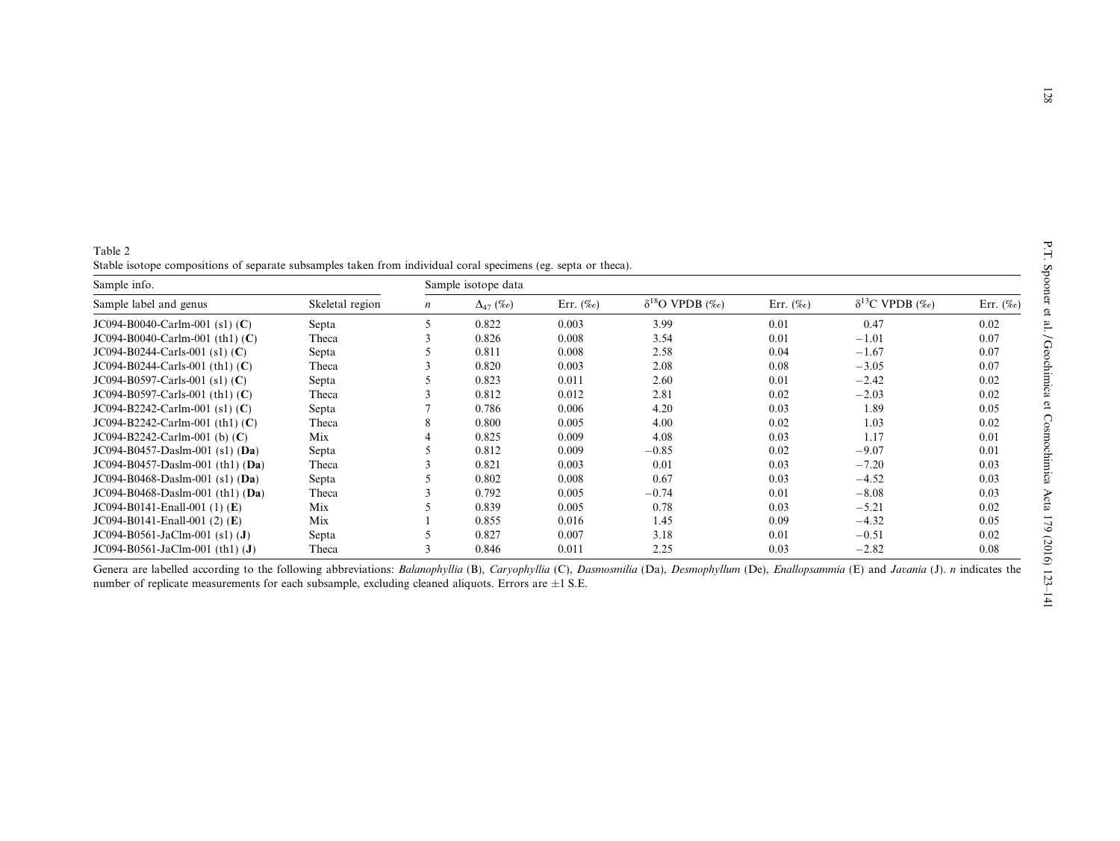| Sample info.                       | Sample isotope data |               |                   |               |                          |               |                          |               |  |
|------------------------------------|---------------------|---------------|-------------------|---------------|--------------------------|---------------|--------------------------|---------------|--|
| Sample label and genus             | Skeletal region     | $\mathfrak n$ | $\Delta_{47}$ (‰) | Err. $(\%$ o) | $\delta^{18}$ O VPDB (‰) | Err. $(\%$ o) | $\delta^{13}$ C VPDB (‰) | Err. $(\%$ o) |  |
| $JC094-B0040-Carlm-001$ (s1) (C)   | Septa               | 5             | 0.822             | 0.003         | 3.99                     | 0.01          | 0.47                     | 0.02          |  |
| $JC094-B0040-Carlm-001$ (th1) (C)  | Theca               |               | 0.826             | 0.008         | 3.54                     | 0.01          | $-1.01$                  | 0.07          |  |
| $JCO94-B0244-Carls-001$ (s1) (C)   | Septa               |               | 0.811             | 0.008         | 2.58                     | 0.04          | $-1.67$                  | 0.07          |  |
| $JCO94-B0244-Carls-001$ (th1) (C)  | Theca               |               | 0.820             | 0.003         | 2.08                     | 0.08          | $-3.05$                  | 0.07          |  |
| $JCO94-B0597-Carls-001$ (s1) (C)   | Septa               |               | 0.823             | 0.011         | 2.60                     | 0.01          | $-2.42$                  | 0.02          |  |
| $JC094-B0597-Carls-001$ (th1) (C)  | Theca               |               | 0.812             | 0.012         | 2.81                     | 0.02          | $-2.03$                  | 0.02          |  |
| $JC094-B2242-Carlm-001 (s1) (C)$   | Septa               |               | 0.786             | 0.006         | 4.20                     | 0.03          | 1.89                     | 0.05          |  |
| $JC094-B2242-Carlm-001$ (th1) (C)  | Theca               | 8             | 0.800             | 0.005         | 4.00                     | 0.02          | 1.03                     | 0.02          |  |
| $JC094-B2242-Carlm-001$ (b) $(C)$  | Mix                 |               | 0.825             | 0.009         | 4.08                     | 0.03          | 1.17                     | 0.01          |  |
| $JC094-B0457-Daslm-001$ (s1) (Da)  | Septa               |               | 0.812             | 0.009         | $-0.85$                  | 0.02          | $-9.07$                  | 0.01          |  |
| $JCO94-B0457-Daslm-001$ (th1) (Da) | Theca               |               | 0.821             | 0.003         | 0.01                     | 0.03          | $-7.20$                  | 0.03          |  |
| $JC094-B0468-Daslm-001$ (s1) (Da)  | Septa               |               | 0.802             | 0.008         | 0.67                     | 0.03          | $-4.52$                  | 0.03          |  |
| $JCO94-B0468-Daslm-001$ (th1) (Da) | Theca               |               | 0.792             | 0.005         | $-0.74$                  | 0.01          | $-8.08$                  | 0.03          |  |
| $JC094-B0141-Enall-001 (1) (E)$    | Mix                 |               | 0.839             | 0.005         | 0.78                     | 0.03          | $-5.21$                  | 0.02          |  |
| JC094-B0141-Enall-001 $(2)$ $(E)$  | Mix                 |               | 0.855             | 0.016         | 1.45                     | 0.09          | $-4.32$                  | 0.05          |  |
| $JCO94-B0561-JaClm-001$ (s1) (J)   | Septa               |               | 0.827             | 0.007         | 3.18                     | 0.01          | $-0.51$                  | 0.02          |  |
| $JCO94-B0561-JaClm-001$ (th1) (J)  | Theca               |               | 0.846             | 0.011         | 2.25                     | 0.03          | $-2.82$                  | 0.08          |  |

Genera are labelled according to the following abbreviations: Balanophyllia (B), Caryophyllia (C), Dasmosmilia (Da), Desmophyllum (De), Enallopsammia (E) and Javania (J). n indicates the number of replicate measurements for each subsample, excluding cleaned aliquots. Errors are  $\pm 1$  S.E.

Stable isotope compositions of separate subsamples taken from individual coral specimens (eg. septa or theca).

<span id="page-5-0"></span>Table 2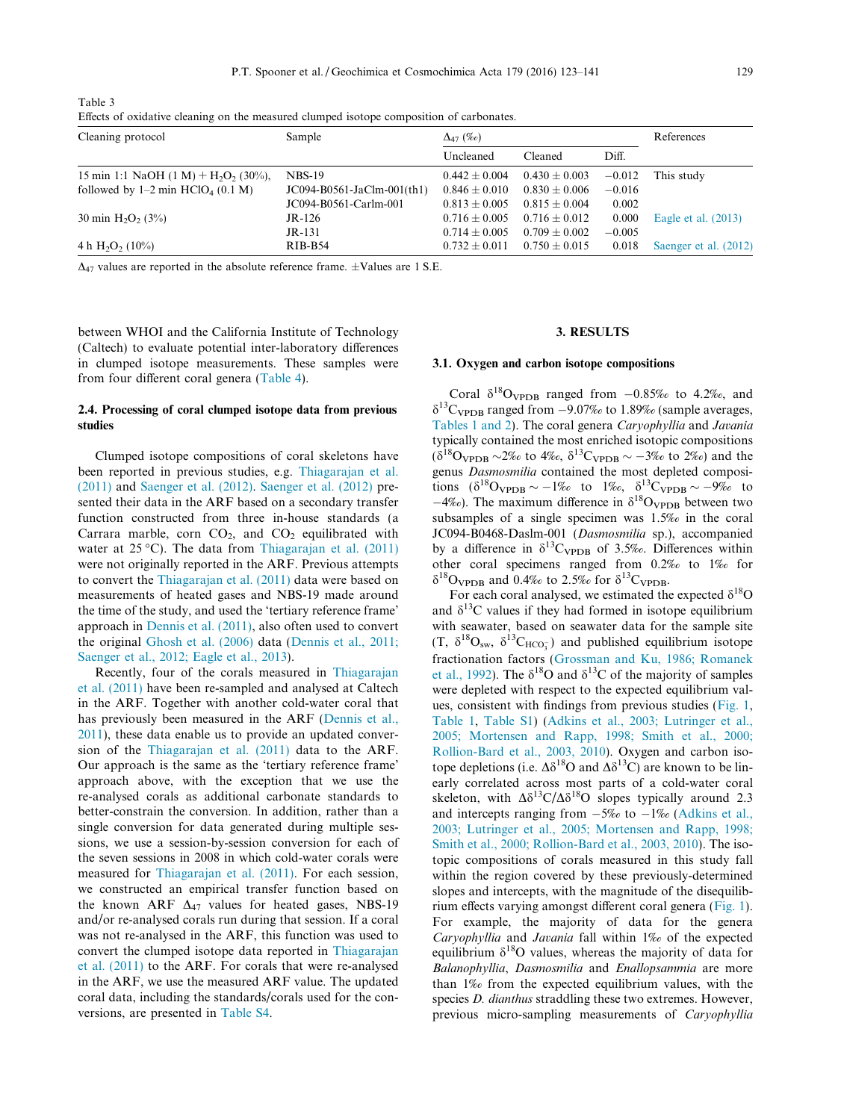<span id="page-6-0"></span>Table 3

Effects of oxidative cleaning on the measured clumped isotope composition of carbonates.

| Cleaning protocol                                              | Sample                       | $\Delta_{47}$ (‰) |                   |          |                       | References |  |
|----------------------------------------------------------------|------------------------------|-------------------|-------------------|----------|-----------------------|------------|--|
|                                                                |                              | Uncleaned         | Cleaned           | Diff.    |                       |            |  |
| 15 min 1:1 NaOH $(1 M)$ + H <sub>2</sub> O <sub>2</sub> (30%), | $NBS-19$                     | $0.442 \pm 0.004$ | $0.430 \pm 0.003$ | $-0.012$ | This study            |            |  |
| followed by $1-2$ min HClO <sub>4</sub> (0.1 M)                | $JCO94-B0561-JaClm-001(th1)$ | $0.846 \pm 0.010$ | $0.830 \pm 0.006$ | $-0.016$ |                       |            |  |
|                                                                | JC094-B0561-Carlm-001        | $0.813 + 0.005$   | $0.815 + 0.004$   | 0.002    |                       |            |  |
| 30 min $H_2O_2$ (3%)                                           | $JR-126$                     | $0.716 + 0.005$   | $0.716 + 0.012$   | 0.000    | Eagle et al. $(2013)$ |            |  |
|                                                                | $JR-131$                     | $0.714 + 0.005$   | $0.709 + 0.002$   | $-0.005$ |                       |            |  |
| 4 h $H_2O_2$ (10%)                                             | $RIB-B54$                    | $0.732 \pm 0.011$ | $0.750 \pm 0.015$ | 0.018    | Saenger et al. (2012) |            |  |

 $\Delta_{47}$  values are reported in the absolute reference frame.  $\pm$ Values are 1 S.E.

between WHOI and the California Institute of Technology (Caltech) to evaluate potential inter-laboratory differences in clumped isotope measurements. These samples were from four different coral genera [\(Table 4\)](#page-7-0).

# 2.4. Processing of coral clumped isotope data from previous studies

Clumped isotope compositions of coral skeletons have been reported in previous studies, e.g. [Thiagarajan et al.](#page-17-0) [\(2011\)](#page-17-0) and [Saenger et al. \(2012\)](#page-17-0). [Saenger et al. \(2012\)](#page-17-0) presented their data in the ARF based on a secondary transfer function constructed from three in-house standards (a Carrara marble, corn  $CO<sub>2</sub>$ , and  $CO<sub>2</sub>$  equilibrated with water at  $25^{\circ}$ C). The data from [Thiagarajan et al. \(2011\)](#page-17-0) were not originally reported in the ARF. Previous attempts to convert the [Thiagarajan et al. \(2011\)](#page-17-0) data were based on measurements of heated gases and NBS-19 made around the time of the study, and used the 'tertiary reference frame' approach in [Dennis et al. \(2011\),](#page-16-0) also often used to convert the original [Ghosh et al. \(2006\)](#page-16-0) data [\(Dennis et al., 2011;](#page-16-0) [Saenger et al., 2012; Eagle et al., 2013](#page-16-0)).

Recently, four of the corals measured in [Thiagarajan](#page-17-0) [et al. \(2011\)](#page-17-0) have been re-sampled and analysed at Caltech in the ARF. Together with another cold-water coral that has previously been measured in the ARF [\(Dennis et al.,](#page-16-0) [2011](#page-16-0)), these data enable us to provide an updated conversion of the [Thiagarajan et al. \(2011\)](#page-17-0) data to the ARF. Our approach is the same as the 'tertiary reference frame' approach above, with the exception that we use the re-analysed corals as additional carbonate standards to better-constrain the conversion. In addition, rather than a single conversion for data generated during multiple sessions, we use a session-by-session conversion for each of the seven sessions in 2008 in which cold-water corals were measured for [Thiagarajan et al. \(2011\)](#page-17-0). For each session, we constructed an empirical transfer function based on the known ARF  $\Delta_{47}$  values for heated gases, NBS-19 and/or re-analysed corals run during that session. If a coral was not re-analysed in the ARF, this function was used to convert the clumped isotope data reported in [Thiagarajan](#page-17-0) [et al. \(2011\)](#page-17-0) to the ARF. For corals that were re-analysed in the ARF, we use the measured ARF value. The updated coral data, including the standards/corals used for the conversions, are presented in [Table S4.](#page-16-0)

# 3. RESULTS

# 3.1. Oxygen and carbon isotope compositions

Coral  $\delta^{18}$ O<sub>VPDB</sub> ranged from  $-0.85\%$  to 4.2‰, and  $\delta^{13}$ C<sub>VPDB</sub> ranged from -9.07‰ to 1.89‰ (sample averages, [Tables 1 and 2](#page-3-0)). The coral genera Caryophyllia and Javania typically contained the most enriched isotopic compositions  $(\delta^{18}O_{\rm VPDB} \sim 2\%$  to 4‰,  $\delta^{13}C_{\rm VPDB} \sim -3\%$  to 2‰) and the genus Dasmosmilia contained the most depleted compositions  $(\delta^{18} \text{O}_{\text{VPDB}} \sim -1\% \text{ to } 1\% \text{O}_{\text{O}} \delta^{13} \text{C}_{\text{VPDB}} \sim -9\% \text{ to } 1\% \text{O}_{\text{O}}$  $-4\%$ ). The maximum difference in  $\delta^{18}$ O<sub>VPDB</sub> between two subsamples of a single specimen was 1.5‰ in the coral JC094-B0468-Daslm-001 (Dasmosmilia sp.), accompanied by a difference in  $\delta^{13}C_{\text{VPDB}}$  of 3.5‰. Differences within other coral specimens ranged from 0.2‰ to 1‰ for  $\delta^{18}$ O<sub>VPDB</sub> and 0.4‰ to 2.5‰ for  $\delta^{13}$ C<sub>VPDB</sub>.

For each coral analysed, we estimated the expected  $\delta^{18}O$ and  $\delta^{13}$ C values if they had formed in isotope equilibrium with seawater, based on seawater data for the sample site  $(T, \delta^{18}O_{sw}, \delta^{13}C_{HCO_3^-})$  and published equilibrium isotope fractionation factors ([Grossman and Ku, 1986; Romanek](#page-16-0) [et al., 1992](#page-16-0)). The  $\delta^{18}$ O and  $\delta^{13}$ C of the majority of samples were depleted with respect to the expected equilibrium values, consistent with findings from previous studies [\(Fig. 1](#page-8-0), [Table 1,](#page-3-0) [Table S1\)](#page-16-0) ([Adkins et al., 2003; Lutringer et al.,](#page-16-0) [2005; Mortensen and Rapp, 1998; Smith et al., 2000;](#page-16-0) [Rollion-Bard et al., 2003, 2010](#page-16-0)). Oxygen and carbon isotope depletions (i.e.  $\Delta \delta^{18}$ O and  $\Delta \delta^{13}$ C) are known to be linearly correlated across most parts of a cold-water coral skeleton, with  $\Delta\delta^{13}C/\Delta\delta^{18}O$  slopes typically around 2.3 and intercepts ranging from  $-5\%$  to  $-1\%$  ([Adkins et al.,](#page-16-0) [2003; Lutringer et al., 2005; Mortensen and Rapp, 1998;](#page-16-0) [Smith et al., 2000; Rollion-Bard et al., 2003, 2010\)](#page-16-0). The isotopic compositions of corals measured in this study fall within the region covered by these previously-determined slopes and intercepts, with the magnitude of the disequilibrium effects varying amongst different coral genera ([Fig. 1](#page-8-0)). For example, the majority of data for the genera Caryophyllia and Javania fall within 1‰ of the expected equilibrium  $\delta^{18}$ O values, whereas the majority of data for Balanophyllia, Dasmosmilia and Enallopsammia are more than 1‰ from the expected equilibrium values, with the species D. dianthus straddling these two extremes. However, previous micro-sampling measurements of Caryophyllia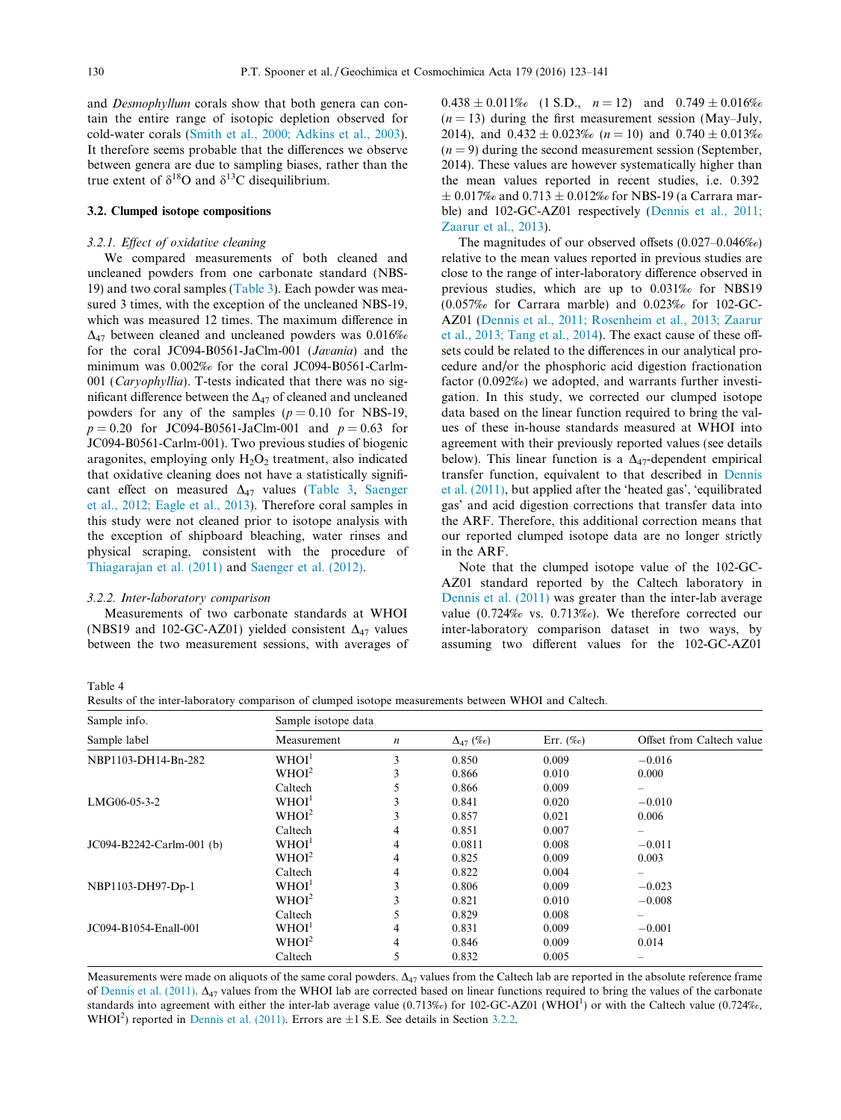<span id="page-7-0"></span>and Desmophyllum corals show that both genera can contain the entire range of isotopic depletion observed for cold-water corals ([Smith et al., 2000; Adkins et al., 2003\)](#page-17-0). It therefore seems probable that the differences we observe between genera are due to sampling biases, rather than the true extent of  $\delta^{18}$ O and  $\delta^{13}$ C disequilibrium.

#### 3.2. Clumped isotope compositions

#### 3.2.1. Effect of oxidative cleaning

We compared measurements of both cleaned and uncleaned powders from one carbonate standard (NBS-19) and two coral samples [\(Table 3\)](#page-6-0). Each powder was measured 3 times, with the exception of the uncleaned NBS-19, which was measured 12 times. The maximum difference in  $\Delta_{47}$  between cleaned and uncleaned powders was 0.016‰ for the coral JC094-B0561-JaClm-001 (Javania) and the minimum was 0.002‰ for the coral JC094-B0561-Carlm-001 (Caryophyllia). T-tests indicated that there was no significant difference between the  $\Delta_{47}$  of cleaned and uncleaned powders for any of the samples ( $p = 0.10$  for NBS-19,  $p = 0.20$  for JC094-B0561-JaClm-001 and  $p = 0.63$  for JC094-B0561-Carlm-001). Two previous studies of biogenic aragonites, employing only  $H_2O_2$  treatment, also indicated that oxidative cleaning does not have a statistically significant effect on measured  $\Delta_{47}$  values [\(Table 3,](#page-6-0) [Saenger](#page-17-0) [et al., 2012; Eagle et al., 2013](#page-17-0)). Therefore coral samples in this study were not cleaned prior to isotope analysis with the exception of shipboard bleaching, water rinses and physical scraping, consistent with the procedure of [Thiagarajan et al. \(2011\)](#page-17-0) and [Saenger et al. \(2012\)](#page-17-0).

#### 3.2.2. Inter-laboratory comparison

Measurements of two carbonate standards at WHOI (NBS19 and 102-GC-AZ01) yielded consistent  $\Delta_{47}$  values between the two measurement sessions, with averages of  $0.438 \pm 0.011\%$  (1 S.D.,  $n = 12$ ) and  $0.749 \pm 0.016\%$  $(n = 13)$  during the first measurement session (May–July, 2014), and  $0.432 \pm 0.023\%$  (n = 10) and  $0.740 \pm 0.013\%$  $(n = 9)$  during the second measurement session (September, 2014). These values are however systematically higher than the mean values reported in recent studies, i.e. 0.392  $\pm$  0.017‰ and 0.713  $\pm$  0.012‰ for NBS-19 (a Carrara marble) and 102-GC-AZ01 respectively [\(Dennis et al., 2011;](#page-16-0) [Zaarur et al., 2013](#page-16-0)).

The magnitudes of our observed offsets (0.027–0.046‰) relative to the mean values reported in previous studies are close to the range of inter-laboratory difference observed in previous studies, which are up to 0.031‰ for NBS19 (0.057‰ for Carrara marble) and 0.023‰ for 102-GC-AZ01 ([Dennis et al., 2011; Rosenheim et al., 2013; Zaarur](#page-16-0) [et al., 2013; Tang et al., 2014\)](#page-16-0). The exact cause of these offsets could be related to the differences in our analytical procedure and/or the phosphoric acid digestion fractionation factor (0.092‰) we adopted, and warrants further investigation. In this study, we corrected our clumped isotope data based on the linear function required to bring the values of these in-house standards measured at WHOI into agreement with their previously reported values (see details below). This linear function is a  $\Delta_{47}$ -dependent empirical transfer function, equivalent to that described in [Dennis](#page-16-0) [et al. \(2011\),](#page-16-0) but applied after the 'heated gas', 'equilibrated gas' and acid digestion corrections that transfer data into the ARF. Therefore, this additional correction means that our reported clumped isotope data are no longer strictly in the ARF.

Note that the clumped isotope value of the 102-GC-AZ01 standard reported by the Caltech laboratory in [Dennis et al. \(2011\)](#page-16-0) was greater than the inter-lab average value (0.724‰ vs. 0.713‰). We therefore corrected our inter-laboratory comparison dataset in two ways, by assuming two different values for the 102-GC-AZ01

Table 4

Results of the inter-laboratory comparison of clumped isotope measurements between WHOI and Caltech.

| Sample info.              | Sample isotope data |                  |                   |              |                           |  |  |
|---------------------------|---------------------|------------------|-------------------|--------------|---------------------------|--|--|
| Sample label              | Measurement         | $\boldsymbol{n}$ | $\Delta_{47}$ (‰) | Err. $(\%$ o | Offset from Caltech value |  |  |
| NBP1103-DH14-Bn-282       | WHOI <sup>1</sup>   | 3                | 0.850             | 0.009        | $-0.016$                  |  |  |
|                           | WHOI <sup>2</sup>   | 3                | 0.866             | 0.010        | 0.000                     |  |  |
|                           | Caltech             | 5                | 0.866             | 0.009        |                           |  |  |
| LMG06-05-3-2              | WHOI <sup>1</sup>   | 3                | 0.841             | 0.020        | $-0.010$                  |  |  |
|                           | WHOI <sup>2</sup>   | 3                | 0.857             | 0.021        | 0.006                     |  |  |
|                           | Caltech             | 4                | 0.851             | 0.007        |                           |  |  |
| JC094-B2242-Carlm-001 (b) | WHOI <sup>1</sup>   | 4                | 0.0811            | 0.008        | $-0.011$                  |  |  |
|                           | WHOI <sup>2</sup>   | 4                | 0.825             | 0.009        | 0.003                     |  |  |
|                           | Caltech             | 4                | 0.822             | 0.004        | $\overline{\phantom{0}}$  |  |  |
| NBP1103-DH97-Dp-1         | WHOI <sup>1</sup>   | 3                | 0.806             | 0.009        | $-0.023$                  |  |  |
|                           | WHOI <sup>2</sup>   | 3                | 0.821             | 0.010        | $-0.008$                  |  |  |
|                           | Caltech             | 5                | 0.829             | 0.008        | $\overline{\phantom{0}}$  |  |  |
| JC094-B1054-Enall-001     | WHOI <sup>1</sup>   | 4                | 0.831             | 0.009        | $-0.001$                  |  |  |
|                           | WHOI <sup>2</sup>   | 4                | 0.846             | 0.009        | 0.014                     |  |  |
|                           | Caltech             | 5                | 0.832             | 0.005        |                           |  |  |

Measurements were made on aliquots of the same coral powders.  $\Delta_{47}$  values from the Caltech lab are reported in the absolute reference frame of [Dennis et al. \(2011\)](#page-16-0).  $\Delta_{47}$  values from the WHOI lab are corrected based on linear functions required to bring the values of the carbonate standards into agreement with either the inter-lab average value (0.713‰) for 102-GC-AZ01 (WHOI<sup>1</sup>) or with the Caltech value (0.724‰, WHOI<sup>2</sup>) reported in [Dennis et al. \(2011\).](#page-16-0) Errors are  $\pm 1$  S.E. See details in Section 3.2.2.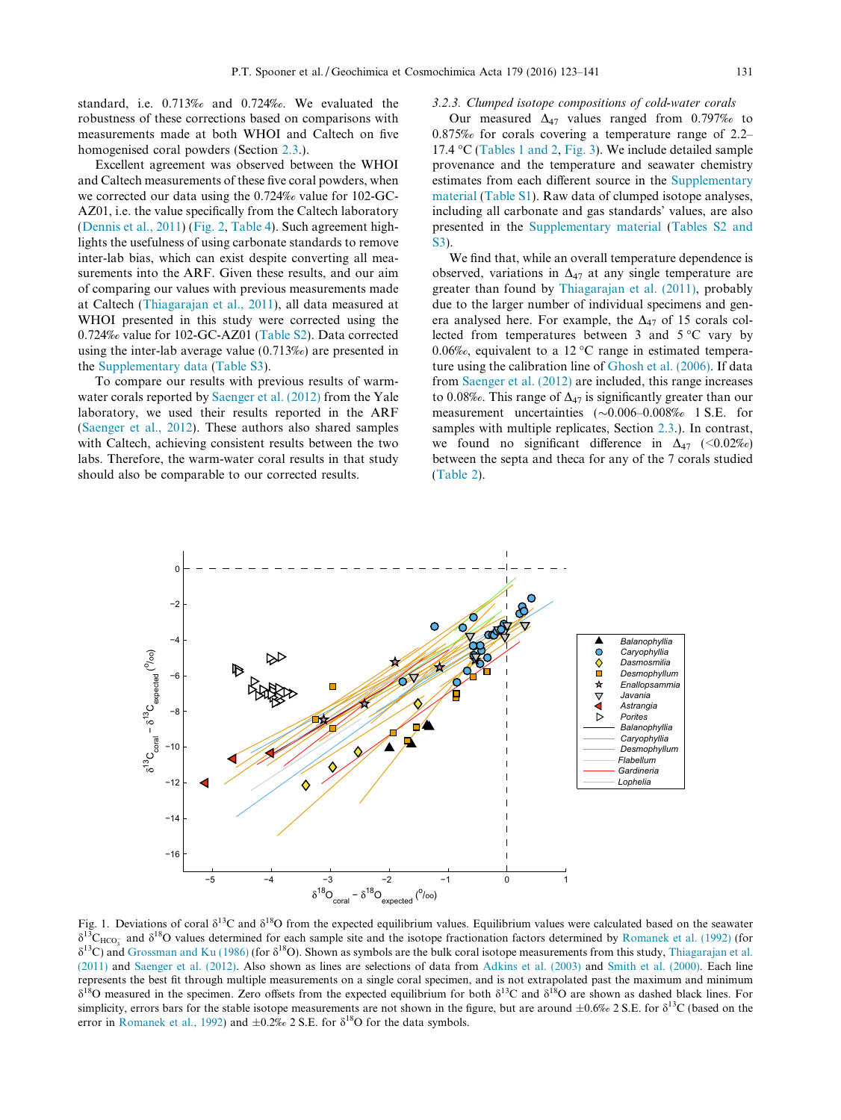<span id="page-8-0"></span>standard, i.e. 0.713‰ and 0.724‰. We evaluated the robustness of these corrections based on comparisons with measurements made at both WHOI and Caltech on five homogenised coral powders (Section [2.3](#page-4-0).).

Excellent agreement was observed between the WHOI and Caltech measurements of these five coral powders, when we corrected our data using the 0.724‰ value for 102-GC-AZ01, i.e. the value specifically from the Caltech laboratory [\(Dennis et al., 2011\)](#page-16-0) ([Fig. 2](#page-9-0), [Table 4](#page-7-0)). Such agreement highlights the usefulness of using carbonate standards to remove inter-lab bias, which can exist despite converting all measurements into the ARF. Given these results, and our aim of comparing our values with previous measurements made at Caltech [\(Thiagarajan et al., 2011](#page-17-0)), all data measured at WHOI presented in this study were corrected using the 0.724‰ value for 102-GC-AZ01 ([Table S2](#page-16-0)). Data corrected using the inter-lab average value (0.713‰) are presented in the [Supplementary data](#page-16-0) ([Table S3\)](#page-16-0).

To compare our results with previous results of warmwater corals reported by [Saenger et al. \(2012\)](#page-17-0) from the Yale laboratory, we used their results reported in the ARF [\(Saenger et al., 2012](#page-17-0)). These authors also shared samples with Caltech, achieving consistent results between the two labs. Therefore, the warm-water coral results in that study should also be comparable to our corrected results.

#### 3.2.3. Clumped isotope compositions of cold-water corals

Our measured  $\Delta_{47}$  values ranged from 0.797‰ to 0.875‰ for corals covering a temperature range of 2.2– 17.4 °C ([Tables 1 and 2](#page-3-0), [Fig. 3\)](#page-10-0). We include detailed sample provenance and the temperature and seawater chemistry estimates from each different source in the [Supplementary](#page-16-0) [material](#page-16-0) [\(Table S1\)](#page-16-0). Raw data of clumped isotope analyses, including all carbonate and gas standards' values, are also presented in the [Supplementary material](#page-16-0) ([Tables S2 and](#page-16-0) [S3\)](#page-16-0).

We find that, while an overall temperature dependence is observed, variations in  $\Delta_{47}$  at any single temperature are greater than found by [Thiagarajan et al. \(2011\)](#page-17-0), probably due to the larger number of individual specimens and genera analysed here. For example, the  $\Delta_{47}$  of 15 corals collected from temperatures between 3 and  $5^{\circ}$ C vary by 0.06‰, equivalent to a 12 °C range in estimated temperature using the calibration line of [Ghosh et al. \(2006\)](#page-16-0). If data from [Saenger et al. \(2012\)](#page-17-0) are included, this range increases to 0.08‰. This range of  $\Delta_{47}$  is significantly greater than our measurement uncertainties  $(\sim 0.006 - 0.008\% = 1 \text{ S.E.}$  for samples with multiple replicates, Section [2.3.](#page-4-0)). In contrast, we found no significant difference in  $\Delta_{47}$  (<0.02%) between the septa and theca for any of the 7 corals studied [\(Table 2\)](#page-5-0).



Fig. 1. Deviations of coral  $\delta^{13}C$  and  $\delta^{18}O$  from the expected equilibrium values. Equilibrium values were calculated based on the seawater  $\delta^{13}C_{\text{HCO}_3^-}$  and  $\delta^{18}O$  values determined for each sample site and the isotope fractionation factors determined by [Romanek et al. \(1992\)](#page-17-0) (for  $\delta^{13}$ C) and [Grossman and Ku \(1986\)](#page-16-0) (for  $\delta^{18}$ O). Shown as symbols are the bulk coral isotope measurements from this study, [Thiagarajan et al.](#page-17-0) [\(2011\)](#page-17-0) and [Saenger et al. \(2012\)](#page-17-0). Also shown as lines are selections of data from [Adkins et al. \(2003\)](#page-16-0) and [Smith et al. \(2000\).](#page-17-0) Each line represents the best fit through multiple measurements on a single coral specimen, and is not extrapolated past the maximum and minimum  $\delta^{18}$ O measured in the specimen. Zero offsets from the expected equilibrium for both  $\delta^{13}$ C and  $\delta^{18}$ O are shown as dashed black lines. For simplicity, errors bars for the stable isotope measurements are not shown in the figure, but are around  $\pm 0.6\%$  2 S.E. for  $\delta^{13}C$  (based on the error in [Romanek et al., 1992\)](#page-17-0) and  $\pm 0.2\%$  2 S.E. for  $\delta^{18}$ O for the data symbols.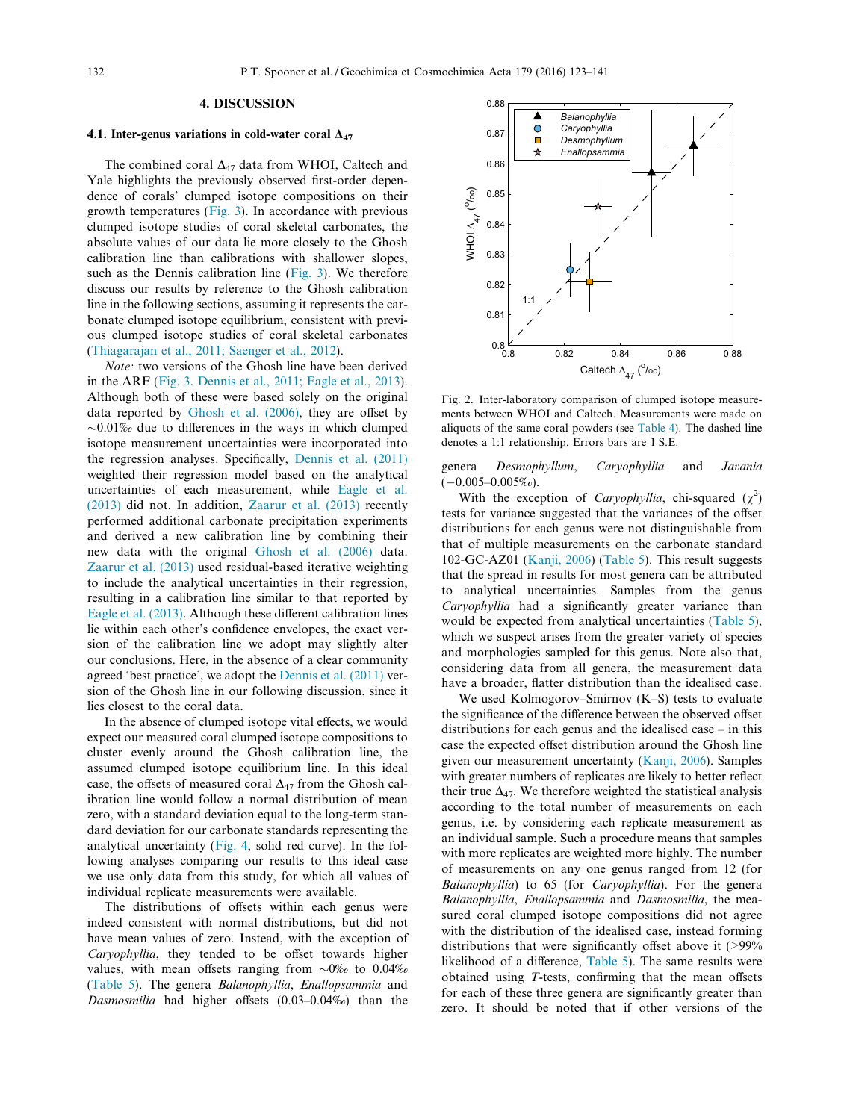# 4. DISCUSSION

## <span id="page-9-0"></span>4.1. Inter-genus variations in cold-water coral  $\Delta_{47}$

The combined coral  $\Delta_{47}$  data from WHOI, Caltech and Yale highlights the previously observed first-order dependence of corals' clumped isotope compositions on their growth temperatures ([Fig. 3\)](#page-10-0). In accordance with previous clumped isotope studies of coral skeletal carbonates, the absolute values of our data lie more closely to the Ghosh calibration line than calibrations with shallower slopes, such as the Dennis calibration line ([Fig. 3](#page-10-0)). We therefore discuss our results by reference to the Ghosh calibration line in the following sections, assuming it represents the carbonate clumped isotope equilibrium, consistent with previous clumped isotope studies of coral skeletal carbonates ([Thiagarajan et al., 2011; Saenger et al., 2012](#page-17-0)).

Note: two versions of the Ghosh line have been derived in the ARF [\(Fig. 3.](#page-10-0) [Dennis et al., 2011; Eagle et al., 2013\)](#page-16-0). Although both of these were based solely on the original data reported by [Ghosh et al. \(2006\),](#page-16-0) they are offset by  $\sim 0.01\%$  due to differences in the ways in which clumped isotope measurement uncertainties were incorporated into the regression analyses. Specifically, [Dennis et al. \(2011\)](#page-16-0) weighted their regression model based on the analytical uncertainties of each measurement, while [Eagle et al.](#page-16-0) [\(2013\)](#page-16-0) did not. In addition, [Zaarur et al. \(2013\)](#page-18-0) recently performed additional carbonate precipitation experiments and derived a new calibration line by combining their new data with the original [Ghosh et al. \(2006\)](#page-16-0) data. [Zaarur et al. \(2013\)](#page-18-0) used residual-based iterative weighting to include the analytical uncertainties in their regression, resulting in a calibration line similar to that reported by [Eagle et al. \(2013\).](#page-16-0) Although these different calibration lines lie within each other's confidence envelopes, the exact version of the calibration line we adopt may slightly alter our conclusions. Here, in the absence of a clear community agreed 'best practice', we adopt the [Dennis et al. \(2011\)](#page-16-0) version of the Ghosh line in our following discussion, since it lies closest to the coral data.

In the absence of clumped isotope vital effects, we would expect our measured coral clumped isotope compositions to cluster evenly around the Ghosh calibration line, the assumed clumped isotope equilibrium line. In this ideal case, the offsets of measured coral  $\Delta_{47}$  from the Ghosh calibration line would follow a normal distribution of mean zero, with a standard deviation equal to the long-term standard deviation for our carbonate standards representing the analytical uncertainty [\(Fig. 4,](#page-11-0) solid red curve). In the following analyses comparing our results to this ideal case we use only data from this study, for which all values of individual replicate measurements were available.

The distributions of offsets within each genus were indeed consistent with normal distributions, but did not have mean values of zero. Instead, with the exception of Caryophyllia, they tended to be offset towards higher values, with mean offsets ranging from  $\sim 0\%$  to 0.04‰ ([Table 5](#page-11-0)). The genera Balanophyllia, Enallopsammia and Dasmosmilia had higher offsets (0.03–0.04‰) than the



Fig. 2. Inter-laboratory comparison of clumped isotope measurements between WHOI and Caltech. Measurements were made on aliquots of the same coral powders (see [Table 4\)](#page-7-0). The dashed line denotes a 1:1 relationship. Errors bars are 1 S.E.

genera Desmophyllum, Caryophyllia and Javania  $(-0.005-0.005%)$ .

With the exception of *Caryophyllia*, chi-squared  $(\chi^2)$ tests for variance suggested that the variances of the offset distributions for each genus were not distinguishable from that of multiple measurements on the carbonate standard 102-GC-AZ01 ([Kanji, 2006\)](#page-16-0) ([Table 5\)](#page-11-0). This result suggests that the spread in results for most genera can be attributed to analytical uncertainties. Samples from the genus Caryophyllia had a significantly greater variance than would be expected from analytical uncertainties [\(Table 5\)](#page-11-0), which we suspect arises from the greater variety of species and morphologies sampled for this genus. Note also that, considering data from all genera, the measurement data have a broader, flatter distribution than the idealised case.

We used Kolmogorov–Smirnov (K–S) tests to evaluate the significance of the difference between the observed offset distributions for each genus and the idealised case – in this case the expected offset distribution around the Ghosh line given our measurement uncertainty [\(Kanji, 2006](#page-16-0)). Samples with greater numbers of replicates are likely to better reflect their true  $\Delta_{47}$ . We therefore weighted the statistical analysis according to the total number of measurements on each genus, i.e. by considering each replicate measurement as an individual sample. Such a procedure means that samples with more replicates are weighted more highly. The number of measurements on any one genus ranged from 12 (for Balanophyllia) to 65 (for Caryophyllia). For the genera Balanophyllia, Enallopsammia and Dasmosmilia, the measured coral clumped isotope compositions did not agree with the distribution of the idealised case, instead forming distributions that were significantly offset above it (>99% likelihood of a difference, [Table 5](#page-11-0)). The same results were obtained using T-tests, confirming that the mean offsets for each of these three genera are significantly greater than zero. It should be noted that if other versions of the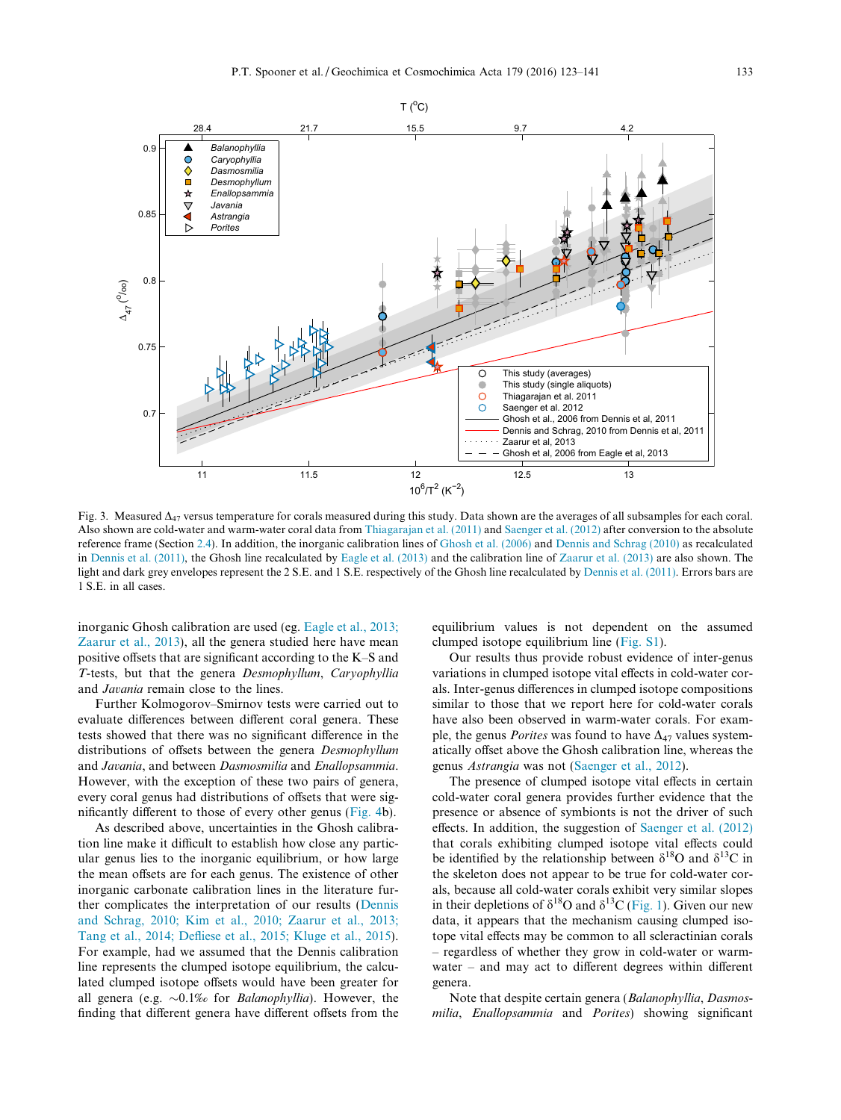<span id="page-10-0"></span>

Fig. 3. Measured  $\Delta_{47}$  versus temperature for corals measured during this study. Data shown are the averages of all subsamples for each coral. Also shown are cold-water and warm-water coral data from [Thiagarajan et al. \(2011\)](#page-17-0) and [Saenger et al. \(2012\)](#page-17-0) after conversion to the absolute reference frame (Section [2.4\)](#page-6-0). In addition, the inorganic calibration lines of [Ghosh et al. \(2006\)](#page-16-0) and [Dennis and Schrag \(2010\)](#page-16-0) as recalculated in [Dennis et al. \(2011\),](#page-16-0) the Ghosh line recalculated by [Eagle et al. \(2013\)](#page-16-0) and the calibration line of [Zaarur et al. \(2013\)](#page-18-0) are also shown. The light and dark grey envelopes represent the 2 S.E. and 1 S.E. respectively of the Ghosh line recalculated by [Dennis et al. \(2011\).](#page-16-0) Errors bars are 1 S.E. in all cases.

inorganic Ghosh calibration are used (eg. [Eagle et al., 2013;](#page-16-0) [Zaarur et al., 2013\)](#page-16-0), all the genera studied here have mean positive offsets that are significant according to the K–S and T-tests, but that the genera Desmophyllum, Caryophyllia and Javania remain close to the lines.

Further Kolmogorov–Smirnov tests were carried out to evaluate differences between different coral genera. These tests showed that there was no significant difference in the distributions of offsets between the genera Desmophyllum and Javania, and between Dasmosmilia and Enallopsammia. However, with the exception of these two pairs of genera, every coral genus had distributions of offsets that were significantly different to those of every other genus ([Fig. 4b](#page-11-0)).

As described above, uncertainties in the Ghosh calibration line make it difficult to establish how close any particular genus lies to the inorganic equilibrium, or how large the mean offsets are for each genus. The existence of other inorganic carbonate calibration lines in the literature further complicates the interpretation of our results [\(Dennis](#page-16-0) [and Schrag, 2010; Kim et al., 2010; Zaarur et al., 2013;](#page-16-0) [Tang et al., 2014; Defliese et al., 2015; Kluge et al., 2015](#page-16-0)). For example, had we assumed that the Dennis calibration line represents the clumped isotope equilibrium, the calculated clumped isotope offsets would have been greater for all genera (e.g.  $\sim 0.1\%$  for *Balanophyllia*). However, the finding that different genera have different offsets from the equilibrium values is not dependent on the assumed clumped isotope equilibrium line [\(Fig. S1](#page-16-0)).

Our results thus provide robust evidence of inter-genus variations in clumped isotope vital effects in cold-water corals. Inter-genus differences in clumped isotope compositions similar to those that we report here for cold-water corals have also been observed in warm-water corals. For example, the genus *Porites* was found to have  $\Delta_{47}$  values systematically offset above the Ghosh calibration line, whereas the genus Astrangia was not ([Saenger et al., 2012\)](#page-17-0).

The presence of clumped isotope vital effects in certain cold-water coral genera provides further evidence that the presence or absence of symbionts is not the driver of such effects. In addition, the suggestion of [Saenger et al. \(2012\)](#page-17-0) that corals exhibiting clumped isotope vital effects could be identified by the relationship between  $\delta^{18}$ O and  $\delta^{13}$ C in the skeleton does not appear to be true for cold-water corals, because all cold-water corals exhibit very similar slopes in their depletions of  $\delta^{18}$ O and  $\delta^{13}$ C [\(Fig. 1](#page-8-0)). Given our new data, it appears that the mechanism causing clumped isotope vital effects may be common to all scleractinian corals – regardless of whether they grow in cold-water or warmwater – and may act to different degrees within different genera.

Note that despite certain genera (Balanophyllia, Dasmosmilia, Enallopsammia and Porites) showing significant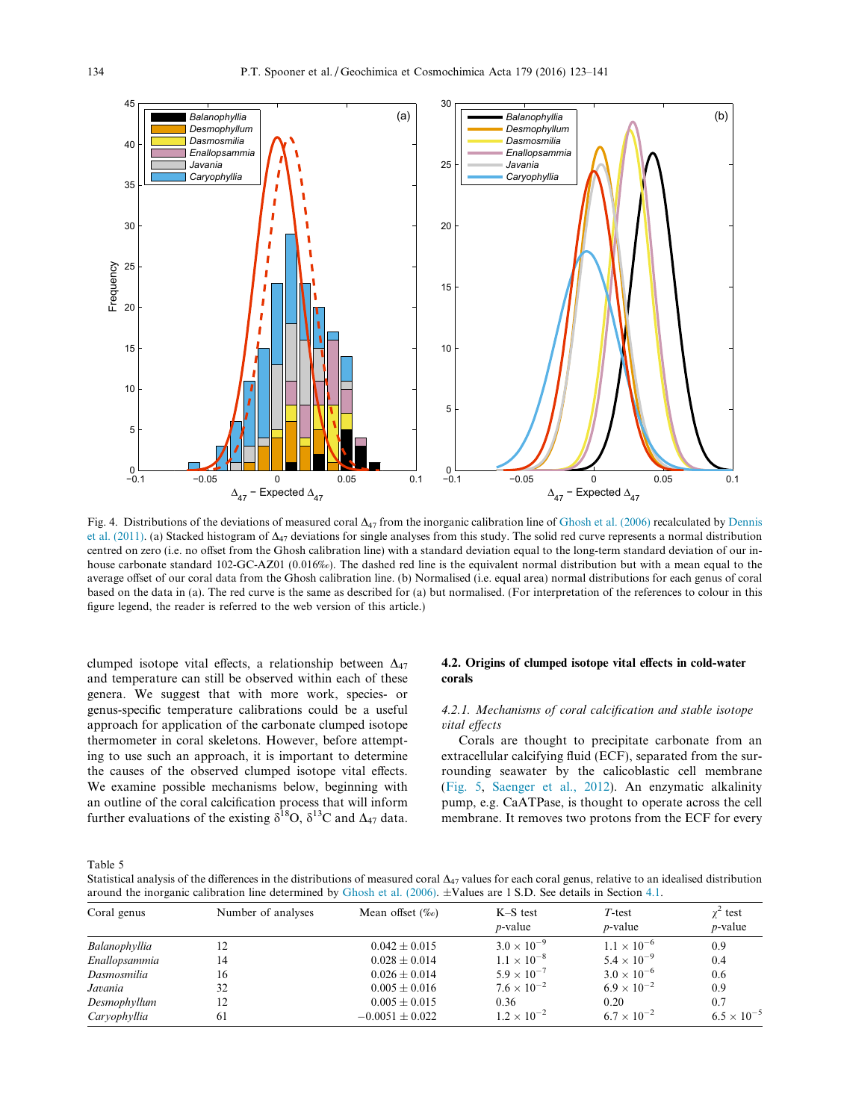<span id="page-11-0"></span>

Fig. 4. Distributions of the deviations of measured coral  $\Delta_{47}$  from the inorganic calibration line of [Ghosh et al. \(2006\)](#page-16-0) recalculated by [Dennis](#page-16-0) [et al. \(2011\).](#page-16-0) (a) Stacked histogram of  $\Delta_{47}$  deviations for single analyses from this study. The solid red curve represents a normal distribution centred on zero (i.e. no offset from the Ghosh calibration line) with a standard deviation equal to the long-term standard deviation of our inhouse carbonate standard 102-GC-AZ01 (0.016‰). The dashed red line is the equivalent normal distribution but with a mean equal to the average offset of our coral data from the Ghosh calibration line. (b) Normalised (i.e. equal area) normal distributions for each genus of coral based on the data in (a). The red curve is the same as described for (a) but normalised. (For interpretation of the references to colour in this figure legend, the reader is referred to the web version of this article.)

clumped isotope vital effects, a relationship between  $\Delta_{47}$ and temperature can still be observed within each of these genera. We suggest that with more work, species- or genus-specific temperature calibrations could be a useful approach for application of the carbonate clumped isotope thermometer in coral skeletons. However, before attempting to use such an approach, it is important to determine the causes of the observed clumped isotope vital effects. We examine possible mechanisms below, beginning with an outline of the coral calcification process that will inform further evaluations of the existing  $\delta^{18}O$ ,  $\delta^{13}C$  and  $\Delta_{47}$  data.

# 4.2. Origins of clumped isotope vital effects in cold-water corals

# 4.2.1. Mechanisms of coral calcification and stable isotope vital effects

Corals are thought to precipitate carbonate from an extracellular calcifying fluid (ECF), separated from the surrounding seawater by the calicoblastic cell membrane ([Fig. 5](#page-13-0), [Saenger et al., 2012\)](#page-17-0). An enzymatic alkalinity pump, e.g. CaATPase, is thought to operate across the cell membrane. It removes two protons from the ECF for every

Table 5

Statistical analysis of the differences in the distributions of measured coral  $\Delta_{47}$  values for each coral genus, relative to an idealised distribution around the inorganic calibration line determined by [Ghosh et al. \(2006\)](#page-16-0). ±Values are 1 S.D. See details in Section [4.1.](#page-9-0)

| Coral genus   | Number of analyses | Mean offset $(\%_0)$ | $K-S$ test<br>$p$ -value | $T$ -test<br><i>p</i> -value | $\chi^2$ test<br>$p$ -value |
|---------------|--------------------|----------------------|--------------------------|------------------------------|-----------------------------|
| Balanophyllia |                    | $0.042 \pm 0.015$    | $3.0 \times 10^{-9}$     | $1.1 \times 10^{-6}$         | 0.9                         |
| Enallopsammia | 14                 | $0.028 \pm 0.014$    | $1.1 \times 10^{-8}$     | $5.4 \times 10^{-9}$         | 0.4                         |
| Dasmosmilia   | 16                 | $0.026 + 0.014$      | $5.9 \times 10^{-7}$     | $3.0 \times 10^{-6}$         | 0.6                         |
| Javania       | 32                 | $0.005 + 0.016$      | $7.6 \times 10^{-2}$     | $6.9 \times 10^{-2}$         | 0.9                         |
| Desmophyllum  |                    | $0.005 \pm 0.015$    | 0.36                     | 0.20                         | 0.7                         |
| Caryophyllia  | 61                 | $-0.0051 \pm 0.022$  | $1.2 \times 10^{-2}$     | $6.7 \times 10^{-2}$         | $6.5 \times 10^{-5}$        |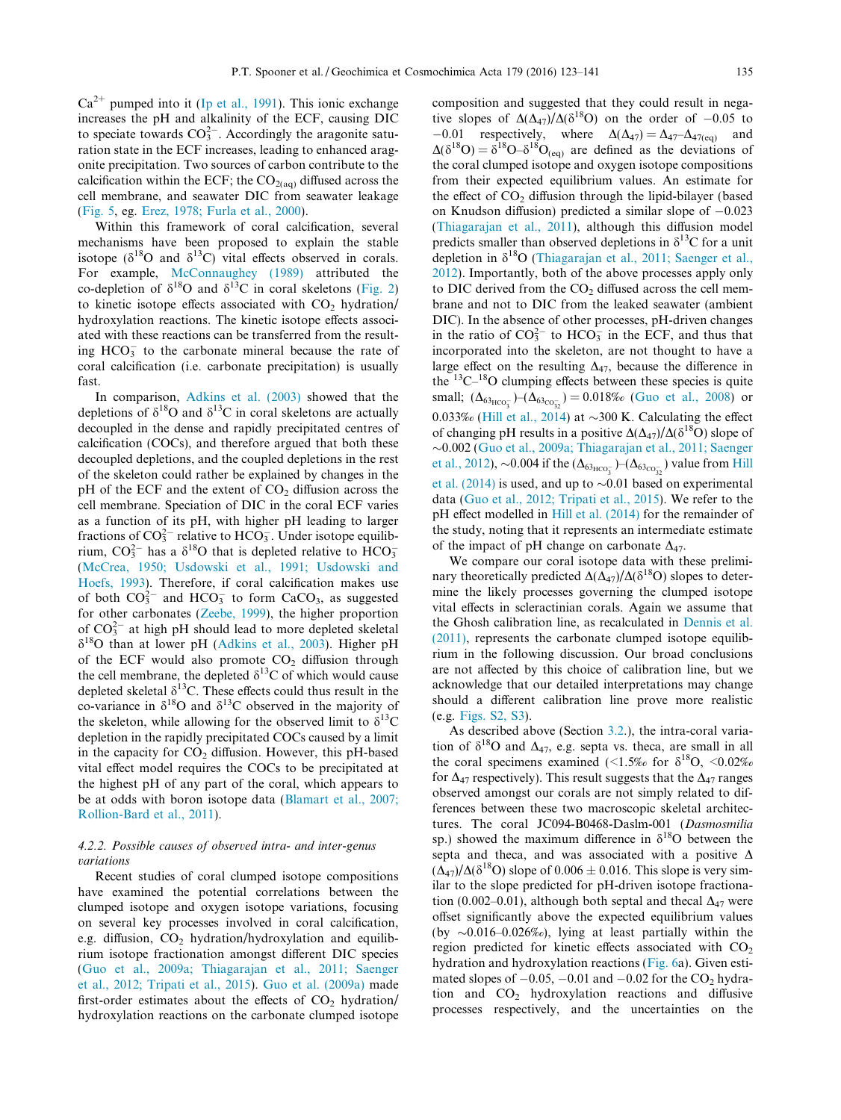<span id="page-12-0"></span> $Ca^{2+}$  pumped into it [\(Ip et al., 1991\)](#page-16-0). This ionic exchange increases the pH and alkalinity of the ECF, causing DIC to speciate towards  $CO_3^{2-}$ . Accordingly the aragonite saturation state in the ECF increases, leading to enhanced aragonite precipitation. Two sources of carbon contribute to the calcification within the ECF; the  $CO<sub>2(aq)</sub>$  diffused across the cell membrane, and seawater DIC from seawater leakage [\(Fig. 5](#page-13-0), eg. [Erez, 1978; Furla et al., 2000](#page-16-0)).

Within this framework of coral calcification, several mechanisms have been proposed to explain the stable isotope ( $\delta^{18}$ O and  $\delta^{13}$ C) vital effects observed in corals. For example, [McConnaughey \(1989\)](#page-17-0) attributed the co-depletion of  $\delta^{18}$ O and  $\delta^{13}$ C in coral skeletons ([Fig. 2](#page-9-0)) to kinetic isotope effects associated with  $CO<sub>2</sub>$  hydration/ hydroxylation reactions. The kinetic isotope effects associated with these reactions can be transferred from the resulting  $HCO<sub>3</sub><sup>-</sup>$  to the carbonate mineral because the rate of coral calcification (i.e. carbonate precipitation) is usually fast.

In comparison, [Adkins et al. \(2003\)](#page-16-0) showed that the depletions of  $\delta^{18}O$  and  $\delta^{13}C$  in coral skeletons are actually decoupled in the dense and rapidly precipitated centres of calcification (COCs), and therefore argued that both these decoupled depletions, and the coupled depletions in the rest of the skeleton could rather be explained by changes in the pH of the ECF and the extent of  $CO<sub>2</sub>$  diffusion across the cell membrane. Speciation of DIC in the coral ECF varies as a function of its pH, with higher pH leading to larger fractions of  $CO_3^{2-}$  relative to  $HCO_3^-$ . Under isotope equilibrium,  $CO_3^{2-}$  has a  $\delta^{18}O$  that is depleted relative to  $HCO_3^-$ [\(McCrea, 1950; Usdowski et al., 1991; Usdowski and](#page-17-0) [Hoefs, 1993\)](#page-17-0). Therefore, if coral calcification makes use of both  $CO_3^{2-}$  and  $HCO_3^-$  to form  $CaCO_3$ , as suggested for other carbonates ([Zeebe, 1999](#page-18-0)), the higher proportion of  $CO_3^{2-}$  at high pH should lead to more depleted skeletal  $\delta^{18}$ O than at lower pH [\(Adkins et al., 2003](#page-16-0)). Higher pH of the ECF would also promote  $CO<sub>2</sub>$  diffusion through the cell membrane, the depleted  $\delta^{13}$ C of which would cause depleted skeletal  $\delta^{13}$ C. These effects could thus result in the co-variance in  $\delta^{18}O$  and  $\delta^{13}C$  observed in the majority of the skeleton, while allowing for the observed limit to  $\delta^{13}C$ depletion in the rapidly precipitated COCs caused by a limit in the capacity for  $CO<sub>2</sub>$  diffusion. However, this pH-based vital effect model requires the COCs to be precipitated at the highest pH of any part of the coral, which appears to be at odds with boron isotope data ([Blamart et al., 2007;](#page-16-0) [Rollion-Bard et al., 2011\)](#page-16-0).

## 4.2.2. Possible causes of observed intra- and inter-genus variations

Recent studies of coral clumped isotope compositions have examined the potential correlations between the clumped isotope and oxygen isotope variations, focusing on several key processes involved in coral calcification, e.g. diffusion,  $CO<sub>2</sub>$  hydration/hydroxylation and equilibrium isotope fractionation amongst different DIC species [\(Guo et al., 2009a; Thiagarajan et al., 2011; Saenger](#page-16-0) [et al., 2012; Tripati et al., 2015\)](#page-16-0). [Guo et al. \(2009a\)](#page-16-0) made first-order estimates about the effects of  $CO<sub>2</sub>$  hydration/ hydroxylation reactions on the carbonate clumped isotope

composition and suggested that they could result in negative slopes of  $\Delta(\Delta_47)/\Delta( \delta^{18}O)$  on the order of -0.05 to  $-0.01$  respectively, where  $\Delta(\Delta_{47}) = \Delta_{47} - \Delta_{47(eq)}$  and  $\Delta(\delta^{18}O) = \delta^{18}O - \delta^{18}O_{\text{(eq)}}$  are defined as the deviations of the coral clumped isotope and oxygen isotope compositions from their expected equilibrium values. An estimate for the effect of  $CO<sub>2</sub>$  diffusion through the lipid-bilayer (based on Knudson diffusion) predicted a similar slope of  $-0.023$ [\(Thiagarajan et al., 2011\)](#page-17-0), although this diffusion model predicts smaller than observed depletions in  $\delta^{13}$ C for a unit depletion in  $\delta^{18}O$  ([Thiagarajan et al., 2011; Saenger et al.,](#page-17-0) [2012](#page-17-0)). Importantly, both of the above processes apply only to DIC derived from the  $CO<sub>2</sub>$  diffused across the cell membrane and not to DIC from the leaked seawater (ambient DIC). In the absence of other processes, pH-driven changes in the ratio of  $CO_3^{2-}$  to  $HCO_3^-$  in the ECF, and thus that incorporated into the skeleton, are not thought to have a large effect on the resulting  $\Delta_{47}$ , because the difference in the  $^{13}$ C $^{-18}$ O clumping effects between these species is quite small;  $(\Delta_{63_{\text{HCO}_{3}^-}})$  - $(\Delta_{63_{\text{CO}_{32}^-}})$  = 0.018‰ ([Guo et al., 2008](#page-16-0)) or 0.033‰ [\(Hill et al., 2014](#page-16-0)) at  $\sim$ 300 K. Calculating the effect of changing pH results in a positive  $\Delta(\Delta_{47})/\Delta(\delta^{18}O)$  slope of  $\sim$ 0.002 ([Guo et al., 2009a; Thiagarajan et al., 2011; Saenger](#page-16-0) [et al., 2012](#page-16-0)),  $\sim$ 0.004 if the ( $\Delta_{63_{\rm HCO_3^-}}$ ) $- (\Delta_{63_{\rm CO_3^-}})$  value from [Hill](#page-16-0) [et al. \(2014\)](#page-16-0) is used, and up to  $\sim$ 0.01 based on experimental data ([Guo et al., 2012; Tripati et al., 2015](#page-16-0)). We refer to the pH effect modelled in [Hill et al. \(2014\)](#page-16-0) for the remainder of the study, noting that it represents an intermediate estimate of the impact of pH change on carbonate  $\Delta_{47}$ .

We compare our coral isotope data with these preliminary theoretically predicted  $\Delta(\Delta_{47})/\Delta(\delta^{18}O)$  slopes to determine the likely processes governing the clumped isotope vital effects in scleractinian corals. Again we assume that the Ghosh calibration line, as recalculated in [Dennis et al.](#page-16-0)  $(2011)$ , represents the carbonate clumped isotope equilibrium in the following discussion. Our broad conclusions are not affected by this choice of calibration line, but we acknowledge that our detailed interpretations may change should a different calibration line prove more realistic (e.g. [Figs. S2, S3\)](#page-16-0).

As described above (Section [3.2.](#page-7-0)), the intra-coral variation of  $\delta^{18}$ O and  $\Delta_{47}$ , e.g. septa vs. theca, are small in all the coral specimens examined (<1.5‰ for  $\delta^{18}O$ , <0.02‰ for  $\Delta_{47}$  respectively). This result suggests that the  $\Delta_{47}$  ranges observed amongst our corals are not simply related to differences between these two macroscopic skeletal architectures. The coral JC094-B0468-Daslm-001 (Dasmosmilia sp.) showed the maximum difference in  $\delta^{18}$ O between the septa and theca, and was associated with a positive  $\Delta$  $(\Delta_{47})/\Delta(\delta^{18}O)$  slope of 0.006  $\pm$  0.016. This slope is very similar to the slope predicted for pH-driven isotope fractionation (0.002–0.01), although both septal and thecal  $\Delta_{47}$  were offset significantly above the expected equilibrium values (by  $\sim 0.016-0.026\%$ ), lying at least partially within the region predicted for kinetic effects associated with  $CO<sub>2</sub>$ hydration and hydroxylation reactions [\(Fig. 6](#page-13-0)a). Given estimated slopes of  $-0.05$ ,  $-0.01$  and  $-0.02$  for the CO<sub>2</sub> hydration and  $CO<sub>2</sub>$  hydroxylation reactions and diffusive processes respectively, and the uncertainties on the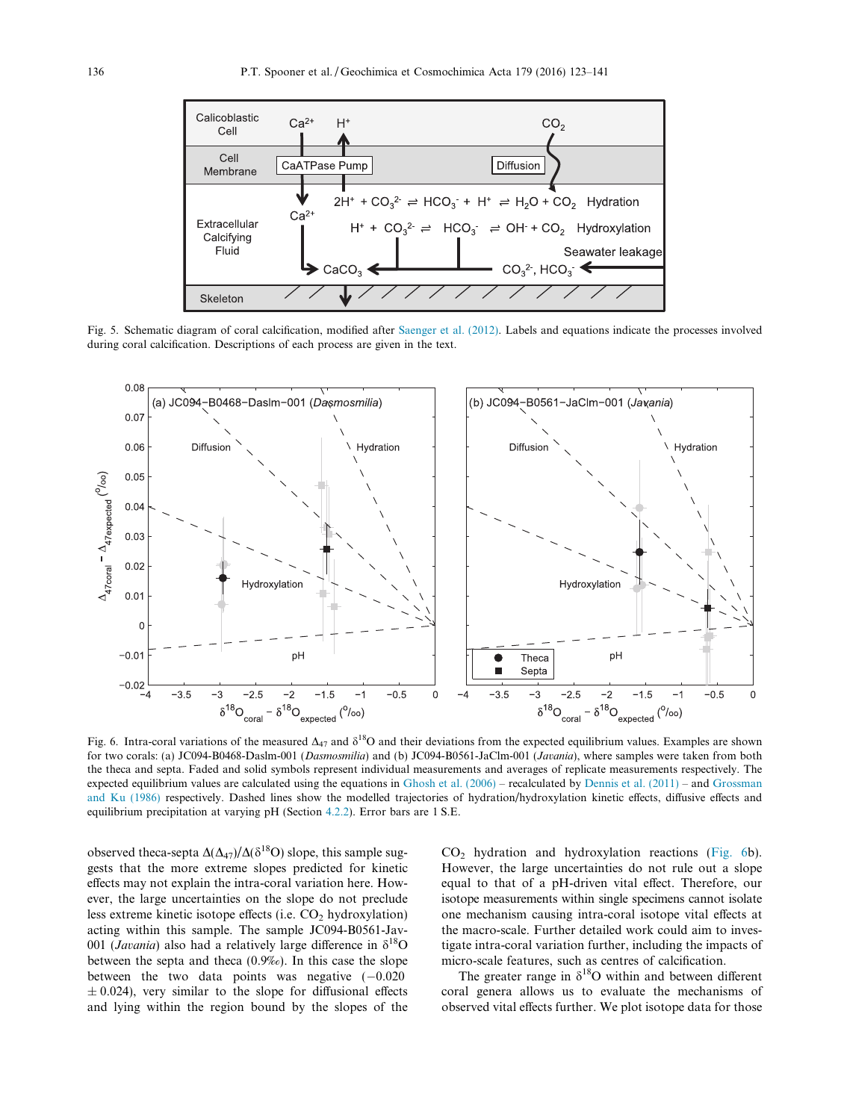<span id="page-13-0"></span>

Fig. 5. Schematic diagram of coral calcification, modified after [Saenger et al. \(2012\)](#page-17-0). Labels and equations indicate the processes involved during coral calcification. Descriptions of each process are given in the text.



Fig. 6. Intra-coral variations of the measured  $\Delta_{47}$  and  $\delta^{18}O$  and their deviations from the expected equilibrium values. Examples are shown for two corals: (a) JC094-B0468-Daslm-001 (Dasmosmilia) and (b) JC094-B0561-JaClm-001 (Javania), where samples were taken from both the theca and septa. Faded and solid symbols represent individual measurements and averages of replicate measurements respectively. The expected equilibrium values are calculated using the equations in Ghosh et al.  $(2006)$  – recalculated by Dennis et al.  $(2011)$  – and [Grossman](#page-16-0) [and Ku \(1986\)](#page-16-0) respectively. Dashed lines show the modelled trajectories of hydration/hydroxylation kinetic effects, diffusive effects and equilibrium precipitation at varying pH (Section [4.2.2](#page-12-0)). Error bars are 1 S.E.

observed theca-septa  $\Delta(\Delta_{47})/\Delta(\delta^{18}O)$  slope, this sample suggests that the more extreme slopes predicted for kinetic effects may not explain the intra-coral variation here. However, the large uncertainties on the slope do not preclude less extreme kinetic isotope effects (i.e.  $CO<sub>2</sub>$  hydroxylation) acting within this sample. The sample JC094-B0561-Jav-001 (Javania) also had a relatively large difference in  $\delta^{18}O$ between the septa and theca (0.9‰). In this case the slope between the two data points was negative  $(-0.020)$  $\pm$  0.024), very similar to the slope for diffusional effects and lying within the region bound by the slopes of the

 $CO<sub>2</sub>$  hydration and hydroxylation reactions (Fig. 6b). However, the large uncertainties do not rule out a slope equal to that of a pH-driven vital effect. Therefore, our isotope measurements within single specimens cannot isolate one mechanism causing intra-coral isotope vital effects at the macro-scale. Further detailed work could aim to investigate intra-coral variation further, including the impacts of micro-scale features, such as centres of calcification.

The greater range in  $\delta^{18}O$  within and between different coral genera allows us to evaluate the mechanisms of observed vital effects further. We plot isotope data for those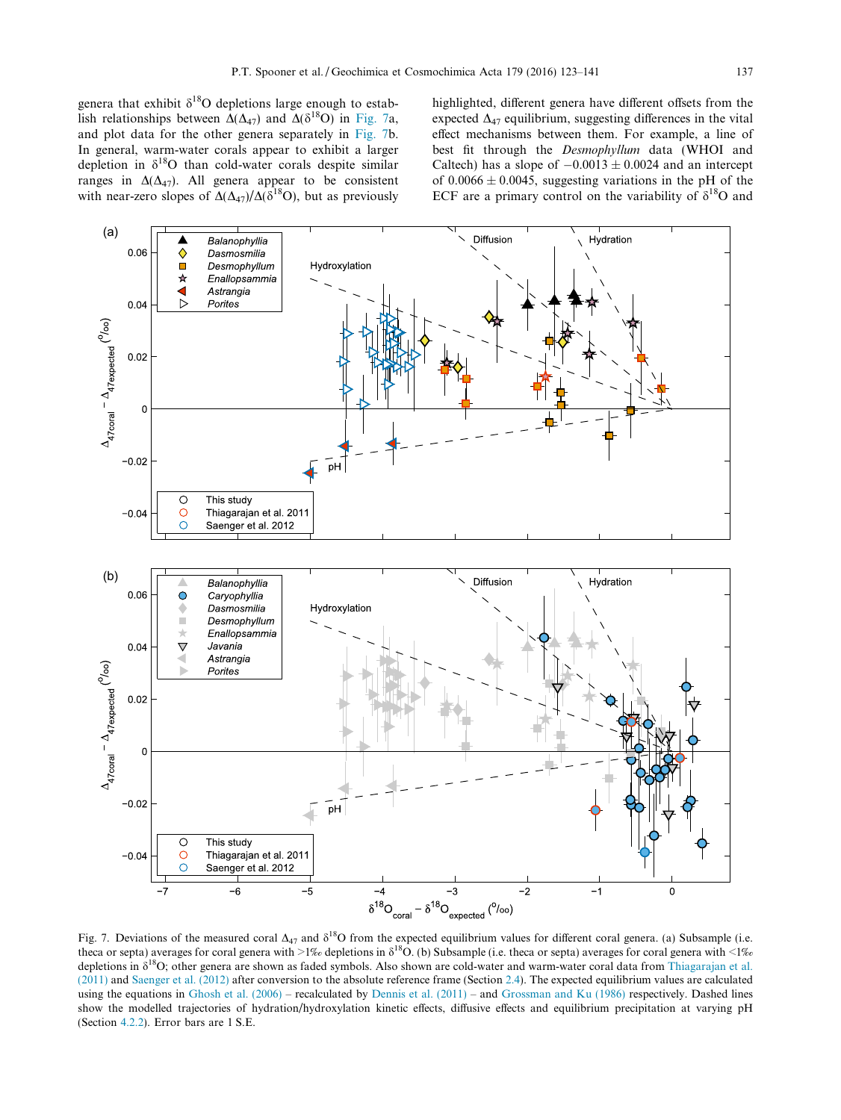<span id="page-14-0"></span>genera that exhibit  $\delta^{18}O$  depletions large enough to establish relationships between  $\Delta(\Delta_{47})$  and  $\Delta(\delta^{18}O)$  in Fig. 7a, and plot data for the other genera separately in Fig. 7b. In general, warm-water corals appear to exhibit a larger depletion in  $\delta^{18}$ O than cold-water corals despite similar ranges in  $\Delta(\Delta_{47})$ . All genera appear to be consistent with near-zero slopes of  $\Delta(\Delta_{47})/\Delta(8^{18}O)$ , but as previously

highlighted, different genera have different offsets from the expected  $\Delta_{47}$  equilibrium, suggesting differences in the vital effect mechanisms between them. For example, a line of best fit through the Desmophyllum data (WHOI and Caltech) has a slope of  $-0.0013 \pm 0.0024$  and an intercept of  $0.0066 \pm 0.0045$ , suggesting variations in the pH of the ECF are a primary control on the variability of  $\delta^{18}O$  and



Fig. 7. Deviations of the measured coral  $\Delta_{47}$  and  $\delta^{18}O$  from the expected equilibrium values for different coral genera. (a) Subsample (i.e. theca or septa) averages for coral genera with >1‰ depletions in  $\delta^{18}O$ . (b) Subsample (i.e. theca or septa) averages for coral genera with <1‰ depletions in  $\delta^{18}$ O; other genera are shown as faded symbols. Also shown are cold-water and warm-water coral data from [Thiagarajan et al.](#page-17-0) [\(2011\)](#page-17-0) and [Saenger et al. \(2012\)](#page-17-0) after conversion to the absolute reference frame (Section [2.4](#page-6-0)). The expected equilibrium values are calculated using the equations in [Ghosh et al. \(2006\)](#page-16-0) – recalculated by [Dennis et al. \(2011\)](#page-16-0) – and [Grossman and Ku \(1986\)](#page-16-0) respectively. Dashed lines show the modelled trajectories of hydration/hydroxylation kinetic effects, diffusive effects and equilibrium precipitation at varying pH (Section [4.2.2\)](#page-12-0). Error bars are 1 S.E.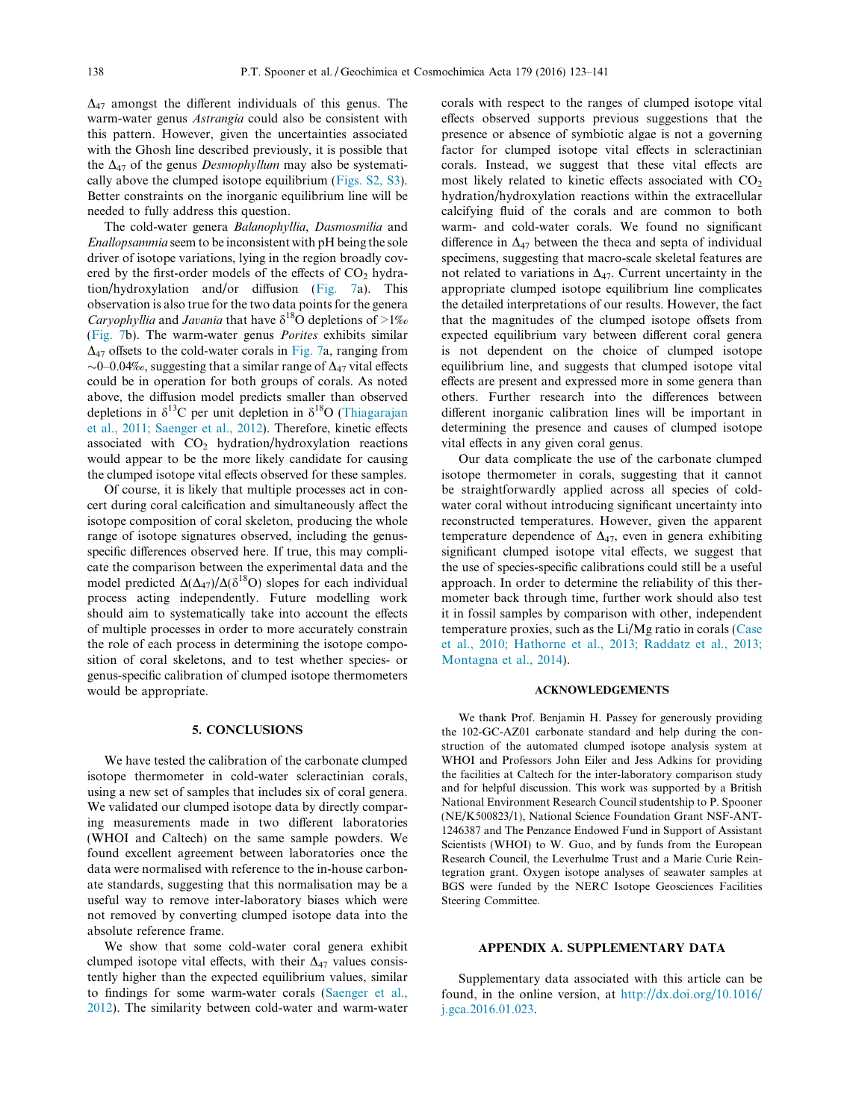$\Delta_{47}$  amongst the different individuals of this genus. The warm-water genus Astrangia could also be consistent with this pattern. However, given the uncertainties associated with the Ghosh line described previously, it is possible that the  $\Delta_{47}$  of the genus *Desmophyllum* may also be systematically above the clumped isotope equilibrium ([Figs. S2, S3\)](#page-16-0). Better constraints on the inorganic equilibrium line will be needed to fully address this question.

The cold-water genera Balanophyllia, Dasmosmilia and Enallopsammia seem to be inconsistent with pH being the sole driver of isotope variations, lying in the region broadly covered by the first-order models of the effects of  $CO<sub>2</sub>$  hydration/hydroxylation and/or diffusion ([Fig. 7a](#page-14-0)). This observation is also true for the two data points for the genera *Caryophyllia* and *Javania* that have  $\delta^{18}$ O depletions of >1% ([Fig. 7b](#page-14-0)). The warm-water genus Porites exhibits similar  $\Delta_{47}$  offsets to the cold-water corals in [Fig. 7a](#page-14-0), ranging from  $\sim$ 0–0.04‰, suggesting that a similar range of  $\Delta_{47}$  vital effects could be in operation for both groups of corals. As noted above, the diffusion model predicts smaller than observed depletions in  $\delta^{13}$ C per unit depletion in  $\delta^{18}$ O ([Thiagarajan](#page-17-0) [et al., 2011; Saenger et al., 2012\)](#page-17-0). Therefore, kinetic effects associated with  $CO<sub>2</sub>$  hydration/hydroxylation reactions would appear to be the more likely candidate for causing the clumped isotope vital effects observed for these samples.

Of course, it is likely that multiple processes act in concert during coral calcification and simultaneously affect the isotope composition of coral skeleton, producing the whole range of isotope signatures observed, including the genusspecific differences observed here. If true, this may complicate the comparison between the experimental data and the model predicted  $\Delta(\Delta_{47})/\Delta(\delta^{18}O)$  slopes for each individual process acting independently. Future modelling work should aim to systematically take into account the effects of multiple processes in order to more accurately constrain the role of each process in determining the isotope composition of coral skeletons, and to test whether species- or genus-specific calibration of clumped isotope thermometers would be appropriate.

# 5. CONCLUSIONS

We have tested the calibration of the carbonate clumped isotope thermometer in cold-water scleractinian corals, using a new set of samples that includes six of coral genera. We validated our clumped isotope data by directly comparing measurements made in two different laboratories (WHOI and Caltech) on the same sample powders. We found excellent agreement between laboratories once the data were normalised with reference to the in-house carbonate standards, suggesting that this normalisation may be a useful way to remove inter-laboratory biases which were not removed by converting clumped isotope data into the absolute reference frame.

We show that some cold-water coral genera exhibit clumped isotope vital effects, with their  $\Delta_{47}$  values consistently higher than the expected equilibrium values, similar to findings for some warm-water corals ([Saenger et al.,](#page-17-0) [2012\)](#page-17-0). The similarity between cold-water and warm-water corals with respect to the ranges of clumped isotope vital effects observed supports previous suggestions that the presence or absence of symbiotic algae is not a governing factor for clumped isotope vital effects in scleractinian corals. Instead, we suggest that these vital effects are most likely related to kinetic effects associated with  $CO<sub>2</sub>$ hydration/hydroxylation reactions within the extracellular calcifying fluid of the corals and are common to both warm- and cold-water corals. We found no significant difference in  $\Delta_{47}$  between the theca and septa of individual specimens, suggesting that macro-scale skeletal features are not related to variations in  $\Delta_{47}$ . Current uncertainty in the appropriate clumped isotope equilibrium line complicates the detailed interpretations of our results. However, the fact that the magnitudes of the clumped isotope offsets from expected equilibrium vary between different coral genera is not dependent on the choice of clumped isotope equilibrium line, and suggests that clumped isotope vital effects are present and expressed more in some genera than others. Further research into the differences between different inorganic calibration lines will be important in determining the presence and causes of clumped isotope vital effects in any given coral genus.

Our data complicate the use of the carbonate clumped isotope thermometer in corals, suggesting that it cannot be straightforwardly applied across all species of coldwater coral without introducing significant uncertainty into reconstructed temperatures. However, given the apparent temperature dependence of  $\Delta_{47}$ , even in genera exhibiting significant clumped isotope vital effects, we suggest that the use of species-specific calibrations could still be a useful approach. In order to determine the reliability of this thermometer back through time, further work should also test it in fossil samples by comparison with other, independent temperature proxies, such as the Li/Mg ratio in corals ([Case](#page-16-0) [et al., 2010; Hathorne et al., 2013; Raddatz et al., 2013;](#page-16-0) [Montagna et al., 2014\)](#page-16-0).

#### ACKNOWLEDGEMENTS

We thank Prof. Benjamin H. Passey for generously providing the 102-GC-AZ01 carbonate standard and help during the construction of the automated clumped isotope analysis system at WHOI and Professors John Eiler and Jess Adkins for providing the facilities at Caltech for the inter-laboratory comparison study and for helpful discussion. This work was supported by a British National Environment Research Council studentship to P. Spooner (NE/K500823/1), National Science Foundation Grant NSF-ANT-1246387 and The Penzance Endowed Fund in Support of Assistant Scientists (WHOI) to W. Guo, and by funds from the European Research Council, the Leverhulme Trust and a Marie Curie Reintegration grant. Oxygen isotope analyses of seawater samples at BGS were funded by the NERC Isotope Geosciences Facilities Steering Committee.

# APPENDIX A. SUPPLEMENTARY DATA

Supplementary data associated with this article can be found, in the online version, at [http://dx.doi.org/10.1016/](http://dx.doi.org/10.1016/j.gca.2016.01.023) [j.gca.2016.01.023](http://dx.doi.org/10.1016/j.gca.2016.01.023).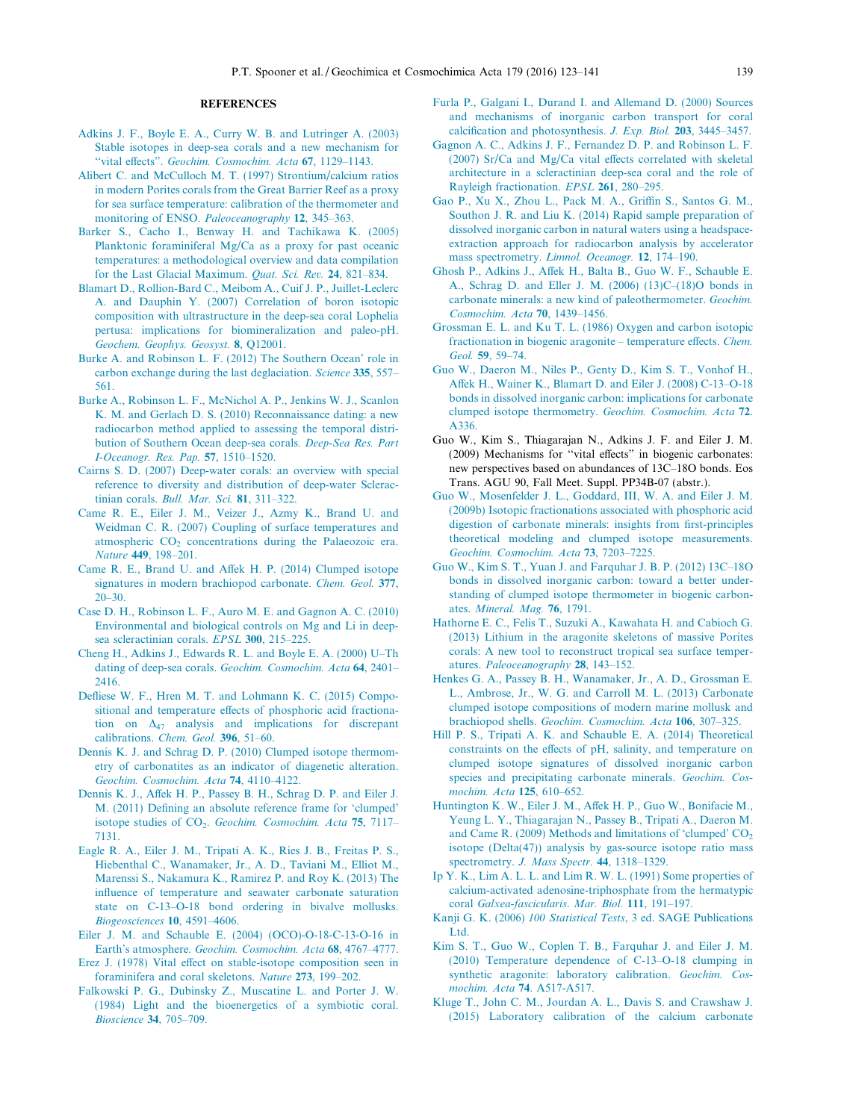#### REFERENCES

- <span id="page-16-0"></span>[Adkins J. F., Boyle E. A., Curry W. B. and Lutringer A. \(2003\)](http://refhub.elsevier.com/S0016-7037(16)30007-2/h0005) [Stable isotopes in deep-sea corals and a new mechanism for](http://refhub.elsevier.com/S0016-7037(16)30007-2/h0005) [''vital effects](http://refhub.elsevier.com/S0016-7037(16)30007-2/h0005)". [Geochim. Cosmochim. Acta](http://refhub.elsevier.com/S0016-7037(16)30007-2/h0005) 67, 1129–1143.
- [Alibert C. and McCulloch M. T. \(1997\) Strontium/calcium ratios](http://refhub.elsevier.com/S0016-7037(16)30007-2/h0010) [in modern Porites corals from the Great Barrier Reef as a proxy](http://refhub.elsevier.com/S0016-7037(16)30007-2/h0010) [for sea surface temperature: calibration of the thermometer and](http://refhub.elsevier.com/S0016-7037(16)30007-2/h0010) [monitoring of ENSO.](http://refhub.elsevier.com/S0016-7037(16)30007-2/h0010) Paleoceanography 12, 345–363.
- [Barker S., Cacho I., Benway H. and Tachikawa K. \(2005\)](http://refhub.elsevier.com/S0016-7037(16)30007-2/h0015) [Planktonic foraminiferal Mg/Ca as a proxy for past oceanic](http://refhub.elsevier.com/S0016-7037(16)30007-2/h0015) [temperatures: a methodological overview and data compilation](http://refhub.elsevier.com/S0016-7037(16)30007-2/h0015) [for the Last Glacial Maximum.](http://refhub.elsevier.com/S0016-7037(16)30007-2/h0015) Quat. Sci. Rev. 24, 821–834.
- [Blamart D., Rollion-Bard C., Meibom A., Cuif J. P., Juillet-Leclerc](http://refhub.elsevier.com/S0016-7037(16)30007-2/h0020) [A. and Dauphin Y. \(2007\) Correlation of boron isotopic](http://refhub.elsevier.com/S0016-7037(16)30007-2/h0020) [composition with ultrastructure in the deep-sea coral Lophelia](http://refhub.elsevier.com/S0016-7037(16)30007-2/h0020) [pertusa: implications for biomineralization and paleo-pH.](http://refhub.elsevier.com/S0016-7037(16)30007-2/h0020) [Geochem. Geophys. Geosyst.](http://refhub.elsevier.com/S0016-7037(16)30007-2/h0020) 8, Q12001.
- [Burke A. and Robinson L. F. \(2012\) The Southern Ocean' role in](http://refhub.elsevier.com/S0016-7037(16)30007-2/h0025) [carbon exchange during the last deglaciation.](http://refhub.elsevier.com/S0016-7037(16)30007-2/h0025) Science 335, 557-[561.](http://refhub.elsevier.com/S0016-7037(16)30007-2/h0025)
- [Burke A., Robinson L. F., McNichol A. P., Jenkins W. J., Scanlon](http://refhub.elsevier.com/S0016-7037(16)30007-2/h0030) [K. M. and Gerlach D. S. \(2010\) Reconnaissance dating: a new](http://refhub.elsevier.com/S0016-7037(16)30007-2/h0030) [radiocarbon method applied to assessing the temporal distri](http://refhub.elsevier.com/S0016-7037(16)30007-2/h0030)[bution of Southern Ocean deep-sea corals.](http://refhub.elsevier.com/S0016-7037(16)30007-2/h0030) Deep-Sea Res. Part [I-Oceanogr. Res. Pap.](http://refhub.elsevier.com/S0016-7037(16)30007-2/h0030) 57, 1510–1520.
- [Cairns S. D. \(2007\) Deep-water corals: an overview with special](http://refhub.elsevier.com/S0016-7037(16)30007-2/h0035) [reference to diversity and distribution of deep-water Sclerac-](http://refhub.elsevier.com/S0016-7037(16)30007-2/h0035)tinian corals. [Bull. Mar. Sci.](http://refhub.elsevier.com/S0016-7037(16)30007-2/h0035) 81, 311-322.
- [Came R. E., Eiler J. M., Veizer J., Azmy K., Brand U. and](http://refhub.elsevier.com/S0016-7037(16)30007-2/h0040) [Weidman C. R. \(2007\) Coupling of surface temperatures and](http://refhub.elsevier.com/S0016-7037(16)30007-2/h0040) atmospheric  $CO<sub>2</sub>$  [concentrations during the Palaeozoic era.](http://refhub.elsevier.com/S0016-7037(16)30007-2/h0040) Nature 449[, 198–201.](http://refhub.elsevier.com/S0016-7037(16)30007-2/h0040)
- [Came R. E., Brand U. and Affek H. P. \(2014\) Clumped isotope](http://refhub.elsevier.com/S0016-7037(16)30007-2/h0045) [signatures in modern brachiopod carbonate.](http://refhub.elsevier.com/S0016-7037(16)30007-2/h0045) Chem. Geol. 377, [20–30.](http://refhub.elsevier.com/S0016-7037(16)30007-2/h0045)
- [Case D. H., Robinson L. F., Auro M. E. and Gagnon A. C. \(2010\)](http://refhub.elsevier.com/S0016-7037(16)30007-2/h0050) [Environmental and biological controls on Mg and Li in deep](http://refhub.elsevier.com/S0016-7037(16)30007-2/h0050)[sea scleractinian corals.](http://refhub.elsevier.com/S0016-7037(16)30007-2/h0050) EPSL 300, 215–225.
- [Cheng H., Adkins J., Edwards R. L. and Boyle E. A. \(2000\) U–Th](http://refhub.elsevier.com/S0016-7037(16)30007-2/h0055) dating of deep-sea corals. [Geochim. Cosmochim. Acta](http://refhub.elsevier.com/S0016-7037(16)30007-2/h0055) 64, 2401– [2416.](http://refhub.elsevier.com/S0016-7037(16)30007-2/h0055)
- [Defliese W. F., Hren M. T. and Lohmann K. C. \(2015\) Compo](http://refhub.elsevier.com/S0016-7037(16)30007-2/h0060)[sitional and temperature effects of phosphoric acid fractiona](http://refhub.elsevier.com/S0016-7037(16)30007-2/h0060)[tion on](http://refhub.elsevier.com/S0016-7037(16)30007-2/h0060)  $\Delta_{47}$  [analysis and implications for discrepant](http://refhub.elsevier.com/S0016-7037(16)30007-2/h0060) [calibrations.](http://refhub.elsevier.com/S0016-7037(16)30007-2/h0060) Chem. Geol. 396, 51–60.
- [Dennis K. J. and Schrag D. P. \(2010\) Clumped isotope thermom](http://refhub.elsevier.com/S0016-7037(16)30007-2/h0065)[etry of carbonatites as an indicator of diagenetic alteration.](http://refhub.elsevier.com/S0016-7037(16)30007-2/h0065) [Geochim. Cosmochim. Acta](http://refhub.elsevier.com/S0016-7037(16)30007-2/h0065) 74, 4110–4122.
- [Dennis K. J., Affek H. P., Passey B. H., Schrag D. P. and Eiler J.](http://refhub.elsevier.com/S0016-7037(16)30007-2/h0070) [M. \(2011\) Defining an absolute reference frame for 'clumped'](http://refhub.elsevier.com/S0016-7037(16)30007-2/h0070) isotope studies of  $CO<sub>2</sub>$ . [Geochim. Cosmochim. Acta](http://refhub.elsevier.com/S0016-7037(16)30007-2/h0070) 75, 7117– [7131.](http://refhub.elsevier.com/S0016-7037(16)30007-2/h0070)
- [Eagle R. A., Eiler J. M., Tripati A. K., Ries J. B., Freitas P. S.,](http://refhub.elsevier.com/S0016-7037(16)30007-2/h0075) [Hiebenthal C., Wanamaker, Jr., A. D., Taviani M., Elliot M.,](http://refhub.elsevier.com/S0016-7037(16)30007-2/h0075) [Marenssi S., Nakamura K., Ramirez P. and Roy K. \(2013\) The](http://refhub.elsevier.com/S0016-7037(16)30007-2/h0075) [influence of temperature and seawater carbonate saturation](http://refhub.elsevier.com/S0016-7037(16)30007-2/h0075) [state on C-13–O-18 bond ordering in bivalve mollusks.](http://refhub.elsevier.com/S0016-7037(16)30007-2/h0075) [Biogeosciences](http://refhub.elsevier.com/S0016-7037(16)30007-2/h0075) 10, 4591–4606.
- [Eiler J. M. and Schauble E. \(2004\) \(OCO\)-O-18-C-13-O-16 in](http://refhub.elsevier.com/S0016-7037(16)30007-2/h0085) Earth's atmosphere. [Geochim. Cosmochim. Acta](http://refhub.elsevier.com/S0016-7037(16)30007-2/h0085) 68, 4767–4777.
- [Erez J. \(1978\) Vital effect on stable-isotope composition seen in](http://refhub.elsevier.com/S0016-7037(16)30007-2/h0090) [foraminifera and coral skeletons.](http://refhub.elsevier.com/S0016-7037(16)30007-2/h0090) Nature 273, 199–202.
- [Falkowski P. G., Dubinsky Z., Muscatine L. and Porter J. W.](http://refhub.elsevier.com/S0016-7037(16)30007-2/h0095) [\(1984\) Light and the bioenergetics of a symbiotic coral.](http://refhub.elsevier.com/S0016-7037(16)30007-2/h0095) [Bioscience](http://refhub.elsevier.com/S0016-7037(16)30007-2/h0095) 34, 705–709.
- [Furla P., Galgani I., Durand I. and Allemand D. \(2000\) Sources](http://refhub.elsevier.com/S0016-7037(16)30007-2/h0100) [and mechanisms of inorganic carbon transport for coral](http://refhub.elsevier.com/S0016-7037(16)30007-2/h0100) [calcification and photosynthesis.](http://refhub.elsevier.com/S0016-7037(16)30007-2/h0100) J. Exp. Biol. 203, 3445–3457.
- [Gagnon A. C., Adkins J. F., Fernandez D. P. and Robinson L. F.](http://refhub.elsevier.com/S0016-7037(16)30007-2/h0105) [\(2007\) Sr/Ca and Mg/Ca vital effects correlated with skeletal](http://refhub.elsevier.com/S0016-7037(16)30007-2/h0105) [architecture in a scleractinian deep-sea coral and the role of](http://refhub.elsevier.com/S0016-7037(16)30007-2/h0105) [Rayleigh fractionation.](http://refhub.elsevier.com/S0016-7037(16)30007-2/h0105) EPSL 261, 280–295.
- [Gao P., Xu X., Zhou L., Pack M. A., Griffin S., Santos G. M.,](http://refhub.elsevier.com/S0016-7037(16)30007-2/h0110) [Southon J. R. and Liu K. \(2014\) Rapid sample preparation of](http://refhub.elsevier.com/S0016-7037(16)30007-2/h0110) [dissolved inorganic carbon in natural waters using a headspace](http://refhub.elsevier.com/S0016-7037(16)30007-2/h0110)[extraction approach for radiocarbon analysis by accelerator](http://refhub.elsevier.com/S0016-7037(16)30007-2/h0110) [mass spectrometry.](http://refhub.elsevier.com/S0016-7037(16)30007-2/h0110) Limnol. Oceanogr. 12, 174–190.
- [Ghosh P., Adkins J., Affek H., Balta B., Guo W. F., Schauble E.](http://refhub.elsevier.com/S0016-7037(16)30007-2/h0115) [A., Schrag D. and Eller J. M. \(2006\) \(13\)C–\(18\)O bonds in](http://refhub.elsevier.com/S0016-7037(16)30007-2/h0115) [carbonate minerals: a new kind of paleothermometer.](http://refhub.elsevier.com/S0016-7037(16)30007-2/h0115) Geochim. [Cosmochim. Acta](http://refhub.elsevier.com/S0016-7037(16)30007-2/h0115) 70, 1439–1456.
- [Grossman E. L. and Ku T. L. \(1986\) Oxygen and carbon isotopic](http://refhub.elsevier.com/S0016-7037(16)30007-2/h0120) [fractionation in biogenic aragonite – temperature effects.](http://refhub.elsevier.com/S0016-7037(16)30007-2/h0120) Chem. Geol. 59[, 59–74.](http://refhub.elsevier.com/S0016-7037(16)30007-2/h0120)
- [Guo W., Daeron M., Niles P., Genty D., Kim S. T., Vonhof H.,](http://refhub.elsevier.com/S0016-7037(16)30007-2/h0125) [Affek H., Wainer K., Blamart D. and Eiler J. \(2008\) C-13–O-18](http://refhub.elsevier.com/S0016-7037(16)30007-2/h0125) [bonds in dissolved inorganic carbon: implications for carbonate](http://refhub.elsevier.com/S0016-7037(16)30007-2/h0125) [clumped isotope thermometry.](http://refhub.elsevier.com/S0016-7037(16)30007-2/h0125) Geochim. Cosmochim. Acta 72. [A336.](http://refhub.elsevier.com/S0016-7037(16)30007-2/h0125)
- Guo W., Kim S., Thiagarajan N., Adkins J. F. and Eiler J. M. (2009) Mechanisms for ''vital effects" in biogenic carbonates: new perspectives based on abundances of 13C–18O bonds. Eos Trans. AGU 90, Fall Meet. Suppl. PP34B-07 (abstr.).
- [Guo W., Mosenfelder J. L., Goddard, III, W. A. and Eiler J. M.](http://refhub.elsevier.com/S0016-7037(16)30007-2/h0135) [\(2009b\) Isotopic fractionations associated with phosphoric acid](http://refhub.elsevier.com/S0016-7037(16)30007-2/h0135) [digestion of carbonate minerals: insights from first-principles](http://refhub.elsevier.com/S0016-7037(16)30007-2/h0135) [theoretical modeling and clumped isotope measurements.](http://refhub.elsevier.com/S0016-7037(16)30007-2/h0135) [Geochim. Cosmochim. Acta](http://refhub.elsevier.com/S0016-7037(16)30007-2/h0135) 73, 7203–7225.
- [Guo W., Kim S. T., Yuan J. and Farquhar J. B. P. \(2012\) 13C–18O](http://refhub.elsevier.com/S0016-7037(16)30007-2/h0140) [bonds in dissolved inorganic carbon: toward a better under](http://refhub.elsevier.com/S0016-7037(16)30007-2/h0140)[standing of clumped isotope thermometer in biogenic carbon](http://refhub.elsevier.com/S0016-7037(16)30007-2/h0140)ates. [Mineral. Mag.](http://refhub.elsevier.com/S0016-7037(16)30007-2/h0140) 76, 1791.
- [Hathorne E. C., Felis T., Suzuki A., Kawahata H. and Cabioch G.](http://refhub.elsevier.com/S0016-7037(16)30007-2/h9000) [\(2013\) Lithium in the aragonite skeletons of massive Porites](http://refhub.elsevier.com/S0016-7037(16)30007-2/h9000) [corals: A new tool to reconstruct tropical sea surface temper](http://refhub.elsevier.com/S0016-7037(16)30007-2/h9000)atures. [Paleoceanography](http://refhub.elsevier.com/S0016-7037(16)30007-2/h9000) 28, 143–152.
- [Henkes G. A., Passey B. H., Wanamaker, Jr., A. D., Grossman E.](http://refhub.elsevier.com/S0016-7037(16)30007-2/h0145) [L., Ambrose, Jr., W. G. and Carroll M. L. \(2013\) Carbonate](http://refhub.elsevier.com/S0016-7037(16)30007-2/h0145) [clumped isotope compositions of modern marine mollusk and](http://refhub.elsevier.com/S0016-7037(16)30007-2/h0145) brachiopod shells. [Geochim. Cosmochim. Acta](http://refhub.elsevier.com/S0016-7037(16)30007-2/h0145) 106, 307–325.
- [Hill P. S., Tripati A. K. and Schauble E. A. \(2014\) Theoretical](http://refhub.elsevier.com/S0016-7037(16)30007-2/h0150) [constraints on the effects of pH, salinity, and temperature on](http://refhub.elsevier.com/S0016-7037(16)30007-2/h0150) [clumped isotope signatures of dissolved inorganic carbon](http://refhub.elsevier.com/S0016-7037(16)30007-2/h0150) [species and precipitating carbonate minerals.](http://refhub.elsevier.com/S0016-7037(16)30007-2/h0150) Geochim. Cos[mochim. Acta](http://refhub.elsevier.com/S0016-7037(16)30007-2/h0150) 125, 610–652.
- [Huntington K. W., Eiler J. M., Affek H. P., Guo W., Bonifacie M.,](http://refhub.elsevier.com/S0016-7037(16)30007-2/h0155) [Yeung L. Y., Thiagarajan N., Passey B., Tripati A., Daeron M.](http://refhub.elsevier.com/S0016-7037(16)30007-2/h0155) and Came R. (2009) Methods and limitations of 'clumped'  $CO<sub>2</sub>$ [isotope \(Delta\(47\)\) analysis by gas-source isotope ratio mass](http://refhub.elsevier.com/S0016-7037(16)30007-2/h0155) spectrometry. [J. Mass Spectr.](http://refhub.elsevier.com/S0016-7037(16)30007-2/h0155) 44, 1318-1329.
- [Ip Y. K., Lim A. L. L. and Lim R. W. L. \(1991\) Some properties of](http://refhub.elsevier.com/S0016-7037(16)30007-2/h0160) [calcium-activated adenosine-triphosphate from the hermatypic](http://refhub.elsevier.com/S0016-7037(16)30007-2/h0160) coral [Galxea-fascicularis](http://refhub.elsevier.com/S0016-7037(16)30007-2/h0160). Mar. Biol. 111, 191–197.
- Kanji G. K. (2006) 100 Statistical Tests[, 3 ed. SAGE Publications](http://refhub.elsevier.com/S0016-7037(16)30007-2/h0165) [Ltd.](http://refhub.elsevier.com/S0016-7037(16)30007-2/h0165)
- [Kim S. T., Guo W., Coplen T. B., Farquhar J. and Eiler J. M.](http://refhub.elsevier.com/S0016-7037(16)30007-2/h0175) [\(2010\) Temperature dependence of C-13–O-18 clumping in](http://refhub.elsevier.com/S0016-7037(16)30007-2/h0175) [synthetic aragonite: laboratory calibration.](http://refhub.elsevier.com/S0016-7037(16)30007-2/h0175) Geochim. Cos[mochim. Acta](http://refhub.elsevier.com/S0016-7037(16)30007-2/h0175) 74. A517-A517.
- [Kluge T., John C. M., Jourdan A. L., Davis S. and Crawshaw J.](http://refhub.elsevier.com/S0016-7037(16)30007-2/h0180) [\(2015\) Laboratory calibration of the calcium carbonate](http://refhub.elsevier.com/S0016-7037(16)30007-2/h0180)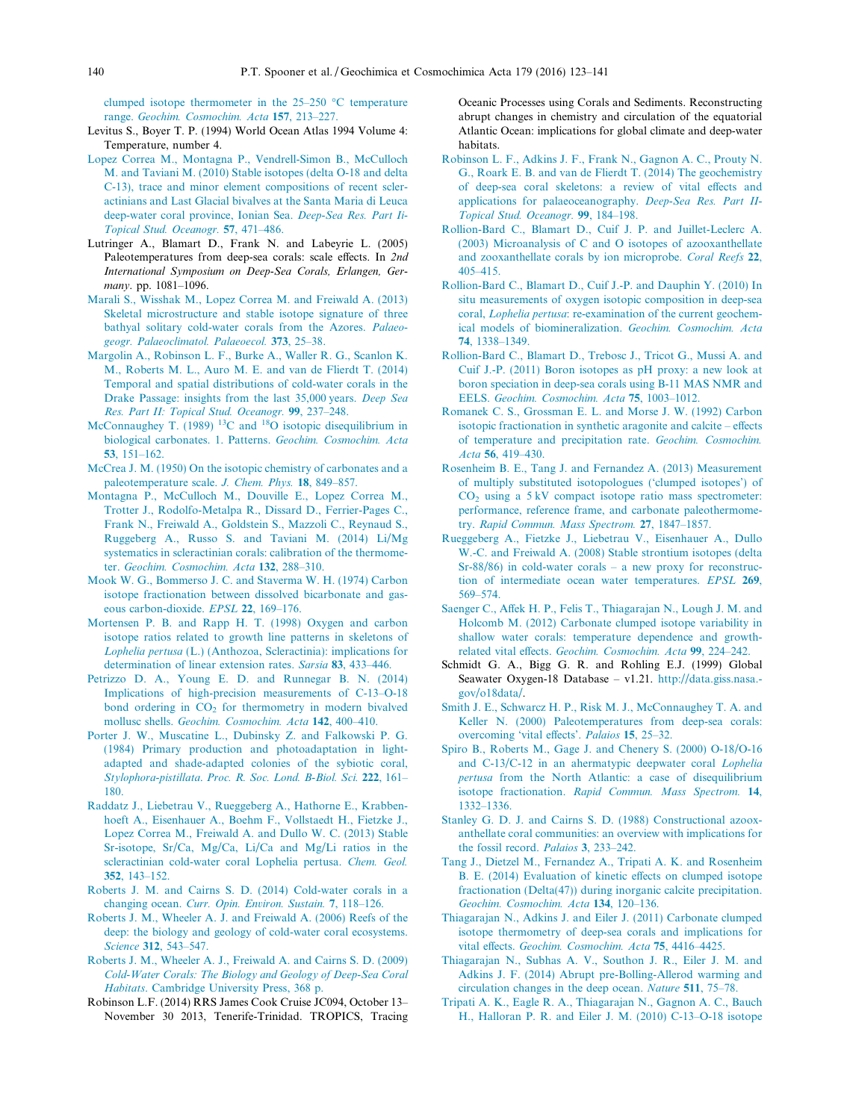<span id="page-17-0"></span>clumped isotope thermometer in the  $25-250$  °C temperature range. [Geochim. Cosmochim. Acta](http://refhub.elsevier.com/S0016-7037(16)30007-2/h0180) 157, 213–227.

- Levitus S., Boyer T. P. (1994) World Ocean Atlas 1994 Volume 4: Temperature, number 4.
- [Lopez Correa M., Montagna P., Vendrell-Simon B., McCulloch](http://refhub.elsevier.com/S0016-7037(16)30007-2/h0190) [M. and Taviani M. \(2010\) Stable isotopes \(delta O-18 and delta](http://refhub.elsevier.com/S0016-7037(16)30007-2/h0190) [C-13\), trace and minor element compositions of recent scler](http://refhub.elsevier.com/S0016-7037(16)30007-2/h0190)[actinians and Last Glacial bivalves at the Santa Maria di Leuca](http://refhub.elsevier.com/S0016-7037(16)30007-2/h0190) [deep-water coral province, Ionian Sea.](http://refhub.elsevier.com/S0016-7037(16)30007-2/h0190) Deep-Sea Res. Part Ii-[Topical Stud. Oceanogr.](http://refhub.elsevier.com/S0016-7037(16)30007-2/h0190) 57, 471–486.
- Lutringer A., Blamart D., Frank N. and Labeyrie L. (2005) Paleotemperatures from deep-sea corals: scale effects. In 2nd International Symposium on Deep-Sea Corals, Erlangen, Germany. pp. 1081–1096.
- [Marali S., Wisshak M., Lopez Correa M. and Freiwald A. \(2013\)](http://refhub.elsevier.com/S0016-7037(16)30007-2/h0200) [Skeletal microstructure and stable isotope signature of three](http://refhub.elsevier.com/S0016-7037(16)30007-2/h0200) [bathyal solitary cold-water corals from the Azores.](http://refhub.elsevier.com/S0016-7037(16)30007-2/h0200) Palaeo[geogr. Palaeoclimatol. Palaeoecol.](http://refhub.elsevier.com/S0016-7037(16)30007-2/h0200) 373, 25–38.
- [Margolin A., Robinson L. F., Burke A., Waller R. G., Scanlon K.](http://refhub.elsevier.com/S0016-7037(16)30007-2/h0205) [M., Roberts M. L., Auro M. E. and van de Flierdt T. \(2014\)](http://refhub.elsevier.com/S0016-7037(16)30007-2/h0205) [Temporal and spatial distributions of cold-water corals in the](http://refhub.elsevier.com/S0016-7037(16)30007-2/h0205) [Drake Passage: insights from the last 35,000 years.](http://refhub.elsevier.com/S0016-7037(16)30007-2/h0205) Deep Sea [Res. Part II: Topical Stud. Oceanogr.](http://refhub.elsevier.com/S0016-7037(16)30007-2/h0205) 99, 237–248.
- [McConnaughey](http://refhub.elsevier.com/S0016-7037(16)30007-2/h0210) [T.](http://refhub.elsevier.com/S0016-7037(16)30007-2/h0210) [\(1989\)](http://refhub.elsevier.com/S0016-7037(16)30007-2/h0210) <sup>13</sup>C [and](http://refhub.elsevier.com/S0016-7037(16)30007-2/h0210) <sup>18</sup>O isotopic disequilibrium in [biological carbonates. 1. Patterns.](http://refhub.elsevier.com/S0016-7037(16)30007-2/h0210) Geochim. Cosmochim. Acta 53[, 151–162.](http://refhub.elsevier.com/S0016-7037(16)30007-2/h0210)
- [McCrea J. M. \(1950\) On the isotopic chemistry of carbonates and a](http://refhub.elsevier.com/S0016-7037(16)30007-2/h0215) [paleotemperature scale.](http://refhub.elsevier.com/S0016-7037(16)30007-2/h0215) J. Chem. Phys. 18, 849–857.
- [Montagna P., McCulloch M., Douville E., Lopez Correa M.,](http://refhub.elsevier.com/S0016-7037(16)30007-2/h0220) [Trotter J., Rodolfo-Metalpa R., Dissard D., Ferrier-Pages C.,](http://refhub.elsevier.com/S0016-7037(16)30007-2/h0220) [Frank N., Freiwald A., Goldstein S., Mazzoli C., Reynaud S.,](http://refhub.elsevier.com/S0016-7037(16)30007-2/h0220) [Ruggeberg A., Russo S. and Taviani M. \(2014\) Li/Mg](http://refhub.elsevier.com/S0016-7037(16)30007-2/h0220) [systematics in scleractinian corals: calibration of the thermome](http://refhub.elsevier.com/S0016-7037(16)30007-2/h0220)ter. [Geochim. Cosmochim. Acta](http://refhub.elsevier.com/S0016-7037(16)30007-2/h0220) 132, 288–310.
- [Mook W. G., Bommerso J. C. and Staverma W. H. \(1974\) Carbon](http://refhub.elsevier.com/S0016-7037(16)30007-2/h0225) [isotope fractionation between dissolved bicarbonate and gas](http://refhub.elsevier.com/S0016-7037(16)30007-2/h0225)[eous carbon-dioxide.](http://refhub.elsevier.com/S0016-7037(16)30007-2/h0225) EPSL 22, 169–176.
- [Mortensen P. B. and Rapp H. T. \(1998\) Oxygen and carbon](http://refhub.elsevier.com/S0016-7037(16)30007-2/h0230) [isotope ratios related to growth line patterns in skeletons of](http://refhub.elsevier.com/S0016-7037(16)30007-2/h0230) Lophelia pertusa [\(L.\) \(Anthozoa, Scleractinia\): implications for](http://refhub.elsevier.com/S0016-7037(16)30007-2/h0230) [determination of linear extension rates.](http://refhub.elsevier.com/S0016-7037(16)30007-2/h0230) Sarsia 83, 433–446.
- [Petrizzo D. A., Young E. D. and Runnegar B. N. \(2014\)](http://refhub.elsevier.com/S0016-7037(16)30007-2/h0235) [Implications of high-precision measurements of C-13–O-18](http://refhub.elsevier.com/S0016-7037(16)30007-2/h0235) bond ordering in  $CO<sub>2</sub>$  [for thermometry in modern bivalved](http://refhub.elsevier.com/S0016-7037(16)30007-2/h0235) mollusc shells. [Geochim. Cosmochim. Acta](http://refhub.elsevier.com/S0016-7037(16)30007-2/h0235) 142, 400–410.
- [Porter J. W., Muscatine L., Dubinsky Z. and Falkowski P. G.](http://refhub.elsevier.com/S0016-7037(16)30007-2/h0240) [\(1984\) Primary production and photoadaptation in light](http://refhub.elsevier.com/S0016-7037(16)30007-2/h0240)[adapted and shade-adapted colonies of the sybiotic coral,](http://refhub.elsevier.com/S0016-7037(16)30007-2/h0240) Stylophora-pistillata. [Proc. R. Soc. Lond. B-Biol. Sci.](http://refhub.elsevier.com/S0016-7037(16)30007-2/h0240) 222, 161– [180.](http://refhub.elsevier.com/S0016-7037(16)30007-2/h0240)
- [Raddatz J., Liebetrau V., Rueggeberg A., Hathorne E., Krabben](http://refhub.elsevier.com/S0016-7037(16)30007-2/h9005)[hoeft A., Eisenhauer A., Boehm F., Vollstaedt H., Fietzke J.,](http://refhub.elsevier.com/S0016-7037(16)30007-2/h9005) [Lopez Correa M., Freiwald A. and Dullo W. C. \(2013\) Stable](http://refhub.elsevier.com/S0016-7037(16)30007-2/h9005) [Sr-isotope, Sr/Ca, Mg/Ca, Li/Ca and Mg/Li ratios in the](http://refhub.elsevier.com/S0016-7037(16)30007-2/h9005) [scleractinian cold-water coral Lophelia pertusa.](http://refhub.elsevier.com/S0016-7037(16)30007-2/h9005) Chem. Geol. 352[, 143–152.](http://refhub.elsevier.com/S0016-7037(16)30007-2/h9005)
- [Roberts J. M. and Cairns S. D. \(2014\) Cold-water corals in a](http://refhub.elsevier.com/S0016-7037(16)30007-2/h0245) changing ocean. [Curr. Opin. Environ. Sustain.](http://refhub.elsevier.com/S0016-7037(16)30007-2/h0245) 7, 118–126.
- [Roberts J. M., Wheeler A. J. and Freiwald A. \(2006\) Reefs of the](http://refhub.elsevier.com/S0016-7037(16)30007-2/h0250) [deep: the biology and geology of cold-water coral ecosystems.](http://refhub.elsevier.com/S0016-7037(16)30007-2/h0250) Science 312[, 543–547.](http://refhub.elsevier.com/S0016-7037(16)30007-2/h0250)
- [Roberts J. M., Wheeler A. J., Freiwald A. and Cairns S. D. \(2009\)](http://refhub.elsevier.com/S0016-7037(16)30007-2/h0255) [Cold-Water Corals: The Biology and Geology of Deep-Sea Coral](http://refhub.elsevier.com/S0016-7037(16)30007-2/h0255) Habitats[. Cambridge University Press, 368 p.](http://refhub.elsevier.com/S0016-7037(16)30007-2/h0255)
- Robinson L.F. (2014) RRS James Cook Cruise JC094, October 13– November 30 2013, Tenerife-Trinidad. TROPICS, Tracing

Oceanic Processes using Corals and Sediments. Reconstructing abrupt changes in chemistry and circulation of the equatorial Atlantic Ocean: implications for global climate and deep-water habitats.

- [Robinson L. F., Adkins J. F., Frank N., Gagnon A. C., Prouty N.](http://refhub.elsevier.com/S0016-7037(16)30007-2/h0265) [G., Roark E. B. and van de Flierdt T. \(2014\) The geochemistry](http://refhub.elsevier.com/S0016-7037(16)30007-2/h0265) [of deep-sea coral skeletons: a review of vital effects and](http://refhub.elsevier.com/S0016-7037(16)30007-2/h0265) [applications for palaeoceanography.](http://refhub.elsevier.com/S0016-7037(16)30007-2/h0265) Deep-Sea Res. Part II-[Topical Stud. Oceanogr.](http://refhub.elsevier.com/S0016-7037(16)30007-2/h0265) 99, 184–198.
- [Rollion-Bard C., Blamart D., Cuif J. P. and Juillet-Leclerc A.](http://refhub.elsevier.com/S0016-7037(16)30007-2/h0270) [\(2003\) Microanalysis of C and O isotopes of azooxanthellate](http://refhub.elsevier.com/S0016-7037(16)30007-2/h0270) [and zooxanthellate corals by ion microprobe.](http://refhub.elsevier.com/S0016-7037(16)30007-2/h0270) Coral Reefs 22, [405–415.](http://refhub.elsevier.com/S0016-7037(16)30007-2/h0270)
- [Rollion-Bard C., Blamart D., Cuif J.-P. and Dauphin Y. \(2010\) In](http://refhub.elsevier.com/S0016-7037(16)30007-2/h0275) [situ measurements of oxygen isotopic composition in deep-sea](http://refhub.elsevier.com/S0016-7037(16)30007-2/h0275) coral, Lophelia pertusa[: re-examination of the current geochem](http://refhub.elsevier.com/S0016-7037(16)30007-2/h0275)[ical models of biomineralization.](http://refhub.elsevier.com/S0016-7037(16)30007-2/h0275) Geochim. Cosmochim. Acta 74[, 1338–1349.](http://refhub.elsevier.com/S0016-7037(16)30007-2/h0275)
- [Rollion-Bard C., Blamart D., Trebosc J., Tricot G., Mussi A. and](http://refhub.elsevier.com/S0016-7037(16)30007-2/h0280) [Cuif J.-P. \(2011\) Boron isotopes as pH proxy: a new look at](http://refhub.elsevier.com/S0016-7037(16)30007-2/h0280) [boron speciation in deep-sea corals using B-11 MAS NMR and](http://refhub.elsevier.com/S0016-7037(16)30007-2/h0280) EELS. [Geochim. Cosmochim. Acta](http://refhub.elsevier.com/S0016-7037(16)30007-2/h0280) 75, 1003–1012.
- [Romanek C. S., Grossman E. L. and Morse J. W. \(1992\) Carbon](http://refhub.elsevier.com/S0016-7037(16)30007-2/h0285) [isotopic fractionation in synthetic aragonite and calcite – effects](http://refhub.elsevier.com/S0016-7037(16)30007-2/h0285) [of temperature and precipitation rate.](http://refhub.elsevier.com/S0016-7037(16)30007-2/h0285) Geochim. Cosmochim. Acta 56[, 419–430.](http://refhub.elsevier.com/S0016-7037(16)30007-2/h0285)
- [Rosenheim B. E., Tang J. and Fernandez A. \(2013\) Measurement](http://refhub.elsevier.com/S0016-7037(16)30007-2/h0290) [of multiply substituted isotopologues \('clumped isotopes'\) of](http://refhub.elsevier.com/S0016-7037(16)30007-2/h0290)  $CO<sub>2</sub>$  [using a 5 kV compact isotope ratio mass spectrometer:](http://refhub.elsevier.com/S0016-7037(16)30007-2/h0290) [performance, reference frame, and carbonate paleothermome](http://refhub.elsevier.com/S0016-7037(16)30007-2/h0290)try. [Rapid Commun. Mass Spectrom.](http://refhub.elsevier.com/S0016-7037(16)30007-2/h0290) 27, 1847–1857.
- [Rueggeberg A., Fietzke J., Liebetrau V., Eisenhauer A., Dullo](http://refhub.elsevier.com/S0016-7037(16)30007-2/h0295) [W.-C. and Freiwald A. \(2008\) Stable strontium isotopes \(delta](http://refhub.elsevier.com/S0016-7037(16)30007-2/h0295) [Sr-88/86\) in cold-water corals – a new proxy for reconstruc](http://refhub.elsevier.com/S0016-7037(16)30007-2/h0295)[tion of intermediate ocean water temperatures.](http://refhub.elsevier.com/S0016-7037(16)30007-2/h0295) EPSL 269, [569–574.](http://refhub.elsevier.com/S0016-7037(16)30007-2/h0295)
- [Saenger C., Affek H. P., Felis T., Thiagarajan N., Lough J. M. and](http://refhub.elsevier.com/S0016-7037(16)30007-2/h0300) [Holcomb M. \(2012\) Carbonate clumped isotope variability in](http://refhub.elsevier.com/S0016-7037(16)30007-2/h0300) [shallow water corals: temperature dependence and growth](http://refhub.elsevier.com/S0016-7037(16)30007-2/h0300)related vital effects. [Geochim. Cosmochim. Acta](http://refhub.elsevier.com/S0016-7037(16)30007-2/h0300) 99, 224–242.
- Schmidt G. A., Bigg G. R. and Rohling E.J. (1999) Global Seawater Oxygen-18 Database – v1.21. [http://data.giss.nasa.](http://data.giss.nasa.gov/o18data/) [gov/o18data/](http://data.giss.nasa.gov/o18data/).
- [Smith J. E., Schwarcz H. P., Risk M. J., McConnaughey T. A. and](http://refhub.elsevier.com/S0016-7037(16)30007-2/h0315) [Keller N. \(2000\) Paleotemperatures from deep-sea corals:](http://refhub.elsevier.com/S0016-7037(16)30007-2/h0315) [overcoming 'vital effects'.](http://refhub.elsevier.com/S0016-7037(16)30007-2/h0315) Palaios 15, 25–32.
- [Spiro B., Roberts M., Gage J. and Chenery S. \(2000\) O-18/O-16](http://refhub.elsevier.com/S0016-7037(16)30007-2/h0320) [and C-13/C-12 in an ahermatypic deepwater coral](http://refhub.elsevier.com/S0016-7037(16)30007-2/h0320) Lophelia pertusa [from the North Atlantic: a case of disequilibrium](http://refhub.elsevier.com/S0016-7037(16)30007-2/h0320) isotope fractionation. [Rapid Commun. Mass Spectrom.](http://refhub.elsevier.com/S0016-7037(16)30007-2/h0320) 14, [1332–1336.](http://refhub.elsevier.com/S0016-7037(16)30007-2/h0320)
- [Stanley G. D. J. and Cairns S. D. \(1988\) Constructional azoox](http://refhub.elsevier.com/S0016-7037(16)30007-2/h0325)[anthellate coral communities: an overview with implications for](http://refhub.elsevier.com/S0016-7037(16)30007-2/h0325) [the fossil record.](http://refhub.elsevier.com/S0016-7037(16)30007-2/h0325) Palaios 3, 233–242.
- [Tang J., Dietzel M., Fernandez A., Tripati A. K. and Rosenheim](http://refhub.elsevier.com/S0016-7037(16)30007-2/h0330) [B. E. \(2014\) Evaluation of kinetic effects on clumped isotope](http://refhub.elsevier.com/S0016-7037(16)30007-2/h0330) [fractionation \(Delta\(47\)\) during inorganic calcite precipitation.](http://refhub.elsevier.com/S0016-7037(16)30007-2/h0330) [Geochim. Cosmochim. Acta](http://refhub.elsevier.com/S0016-7037(16)30007-2/h0330) 134, 120–136.
- [Thiagarajan N., Adkins J. and Eiler J. \(2011\) Carbonate clumped](http://refhub.elsevier.com/S0016-7037(16)30007-2/h0335) [isotope thermometry of deep-sea corals and implications for](http://refhub.elsevier.com/S0016-7037(16)30007-2/h0335) vital effects. [Geochim. Cosmochim. Acta](http://refhub.elsevier.com/S0016-7037(16)30007-2/h0335) 75, 4416–4425.
- [Thiagarajan N., Subhas A. V., Southon J. R., Eiler J. M. and](http://refhub.elsevier.com/S0016-7037(16)30007-2/h0340) [Adkins J. F. \(2014\) Abrupt pre-Bolling-Allerod warming and](http://refhub.elsevier.com/S0016-7037(16)30007-2/h0340) [circulation changes in the deep ocean.](http://refhub.elsevier.com/S0016-7037(16)30007-2/h0340) Nature 511, 75–78.
- [Tripati A. K., Eagle R. A., Thiagarajan N., Gagnon A. C., Bauch](http://refhub.elsevier.com/S0016-7037(16)30007-2/h0345) [H., Halloran P. R. and Eiler J. M. \(2010\) C-13–O-18 isotope](http://refhub.elsevier.com/S0016-7037(16)30007-2/h0345)